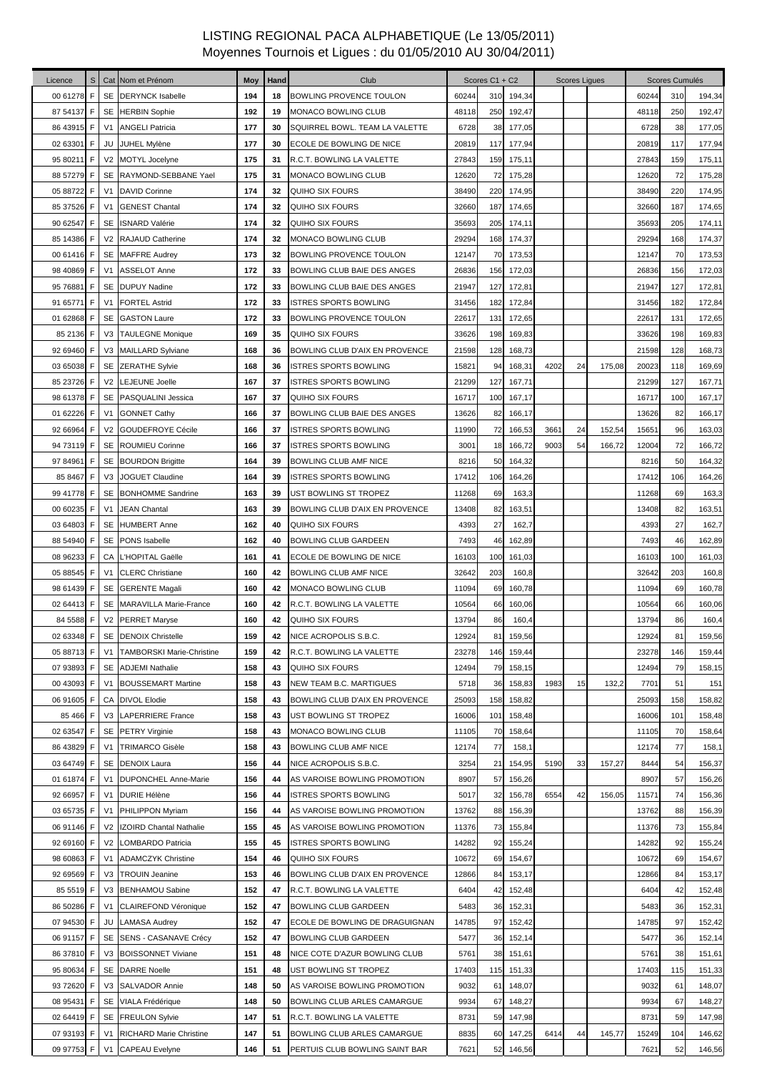| Licence                  | S           |                | Cat Nom et Prénom                                       | Moy        | Hand     | Club                                                     |              | Scores C1 + C2 |                  |      | <b>Scores Liques</b> |        |              | Scores Cumulés |                  |
|--------------------------|-------------|----------------|---------------------------------------------------------|------------|----------|----------------------------------------------------------|--------------|----------------|------------------|------|----------------------|--------|--------------|----------------|------------------|
| 00 61278                 | F           |                | SE DERYNCK Isabelle                                     | 194        | 18       | <b>BOWLING PROVENCE TOULON</b>                           | 60244        | 310            | 194,34           |      |                      |        | 60244        | 310            | 194,34           |
| 87 54137 F               |             |                | SE HERBIN Sophie                                        | 192        | 19       | MONACO BOWLING CLUB                                      | 48118        | 250            | 192,47           |      |                      |        | 48118        | 250            | 192,47           |
| 86 43915                 | F           | V <sub>1</sub> | <b>ANGELI Patricia</b>                                  | 177        | 30       | SQUIRREL BOWL. TEAM LA VALETTE                           | 6728         | 38             | 177,05           |      |                      |        | 6728         | 38             | 177,05           |
| 02 63301 F               |             |                | JU JUHEL Mylène                                         | 177        | 30       | ECOLE DE BOWLING DE NICE                                 | 20819        | 117            | 177,94           |      |                      |        | 20819        | 117            | 177,94           |
| 95 80211 F               |             |                | V2 MOTYL Jocelyne                                       | 175        | 31       | R.C.T. BOWLING LA VALETTE                                | 27843        | 159            | 175,11           |      |                      |        | 27843        | 159            | 175,11           |
| 88 57279                 | F           |                | SE RAYMOND-SEBBANE Yael                                 | 175        | 31       | MONACO BOWLING CLUB                                      | 12620        | 72             | 175,28           |      |                      |        | 12620        | 72             | 175,28           |
| 05 88722                 | F           | V <sub>1</sub> | <b>DAVID Corinne</b>                                    | 174        | 32       | QUIHO SIX FOURS                                          | 38490        | 220            | 174,95           |      |                      |        | 38490        | 220            | 174,95           |
| 85 37 52 6               | F           | V <sub>1</sub> | <b>GENEST Chantal</b>                                   | 174        | 32       | QUIHO SIX FOURS                                          | 32660        | 187            | 174,65           |      |                      |        | 32660        | 187            | 174,65           |
| 90 62547 F               |             | SE             | <b>ISNARD Valérie</b>                                   | 174        | 32       | QUIHO SIX FOURS                                          | 35693        | 205            | 174,11           |      |                      |        | 35693        | 205            | 174,11           |
| 85 14386                 | $\mathsf F$ |                | V2 RAJAUD Catherine                                     | 174        | 32       | MONACO BOWLING CLUB                                      | 29294        | 168            | 174,37           |      |                      |        | 29294        | 168            | 174,37           |
| 00 61416                 | F           |                | SE MAFFRE Audrey                                        | 173        | 32       | BOWLING PROVENCE TOULON                                  | 12147        | 70             | 173,53           |      |                      |        | 12147        | 70             | 173,53           |
| 98 40869                 | F           | V <sub>1</sub> | ASSELOT Anne                                            | 172        | 33       | BOWLING CLUB BAIE DES ANGES                              | 26836        | 156            | 172,03           |      |                      |        | 26836        | 156            | 172,03           |
| 95 76881                 | F           |                | SE DUPUY Nadine                                         | 172        | 33       | BOWLING CLUB BAIE DES ANGES                              | 21947        | 127            | 172,81           |      |                      |        | 21947        | 127            | 172,81           |
| 91 65771                 | F           | V <sub>1</sub> | <b>FORTEL Astrid</b>                                    | 172        | 33       | <b>ISTRES SPORTS BOWLING</b>                             | 31456        | 182            | 172,84           |      |                      |        | 31456        | 182            | 172,84           |
| 01 62868                 | F           |                | SE GASTON Laure                                         | 172        | 33       | BOWLING PROVENCE TOULON                                  | 22617        | 131            | 172,65           |      |                      |        | 22617        | 131            | 172,65           |
| 85 2136                  | F           |                | V3 TAULEGNE Monique                                     | 169        | 35       | QUIHO SIX FOURS                                          | 33626        | 198            | 169,83           |      |                      |        | 33626        | 198            | 169,83           |
| 92 69460                 | F           |                | V3 MAILLARD Sylviane                                    | 168        | 36       | BOWLING CLUB D'AIX EN PROVENCE                           | 21598        | 128            | 168,73           |      |                      |        | 21598        | 128            | 168,73           |
| 03 65038                 | F           |                | SE ZERATHE Sylvie                                       | 168        | 36       | <b>ISTRES SPORTS BOWLING</b>                             | 15821        | 94             | 168,31           | 4202 | 24                   | 175,08 | 20023        | 118            | 169,69           |
| 85 23726                 | F           |                | V2 LEJEUNE Joelle                                       | 167        | 37       | ISTRES SPORTS BOWLING                                    | 21299        | 127            | 167,71           |      |                      |        | 21299        | 127            | 167,71           |
| 98 61378 F               |             |                | SE PASQUALINI Jessica                                   | 167        | 37       | QUIHO SIX FOURS                                          | 16717        | 100            | 167,17           |      |                      |        | 16717        | 100            | 167,17           |
| 01 62226                 | F           | V <sub>1</sub> | <b>GONNET Cathy</b>                                     | 166        | 37       | BOWLING CLUB BAIE DES ANGES                              | 13626        | 82             | 166,17           |      |                      |        | 13626        | 82             | 166,17           |
| 92 66964 F               |             |                | V2 GOUDEFROYE Cécile                                    | 166        | 37       | <b>ISTRES SPORTS BOWLING</b>                             | 11990        | 72             | 166,53           | 3661 | 24                   | 152,54 | 15651        | 96             | 163,03           |
| 94 73119 F               |             |                | SE ROUMIEU Corinne                                      | 166        | 37       | ISTRES SPORTS BOWLING                                    | 3001         | 18             | 166,72           | 9003 | 54                   | 166,72 | 12004        | 72             | 166,72           |
| 97 84961                 | F           |                | SE BOURDON Brigitte                                     | 164        | 39       | BOWLING CLUB AMF NICE                                    | 8216         | 50             | 164,32           |      |                      |        | 8216         | 50             | 164,32           |
| 85 8467                  | F           | V <sub>3</sub> | <b>JOGUET Claudine</b>                                  | 164        | 39       | ISTRES SPORTS BOWLING                                    | 17412        | 106            | 164,26           |      |                      |        | 17412        | 106            | 164,26           |
| 99 41778                 | F           |                | SE BONHOMME Sandrine                                    | 163        | 39       | UST BOWLING ST TROPEZ                                    | 11268        | 69             | 163,3            |      |                      |        | 11268        | 69             | 163,3            |
| 00 60235                 | F           | V <sub>1</sub> | <b>JEAN Chantal</b>                                     | 163        | 39       | BOWLING CLUB D'AIX EN PROVENCE                           | 13408        | 82             | 163,51           |      |                      |        | 13408        | 82             | 163,51           |
| 03 64803                 | F           |                | SE HUMBERT Anne                                         | 162        | 40       | QUIHO SIX FOURS                                          | 4393         | 27             | 162,7            |      |                      |        | 4393         | 27             | 162,7            |
| 88 54940                 | F           |                | SE PONS Isabelle                                        | 162        | 40       | <b>BOWLING CLUB GARDEEN</b>                              | 7493         | 46             | 162,89           |      |                      |        | 7493         | 46             | 162,89           |
| 08 96233                 | F           |                | CA L'HOPITAL Gaëlle                                     | 161        | 41       | ECOLE DE BOWLING DE NICE                                 | 16103        | 100            | 161,03           |      |                      |        | 16103        | 100            | 161,03           |
| 05 88545                 | F           | V <sub>1</sub> | <b>CLERC Christiane</b>                                 | 160        | 42       | <b>BOWLING CLUB AMF NICE</b>                             | 32642        | 203            | 160,8            |      |                      |        | 32642        | 203            | 160,8            |
| 98 61439                 | F           |                | SE GERENTE Magali                                       | 160        | 42       | MONACO BOWLING CLUB                                      | 11094        | 69             | 160,78           |      |                      |        | 11094        | 69             | 160,78           |
| 02 64413 F               |             |                | SE MARAVILLA Marie-France                               | 160        | 42       | R.C.T. BOWLING LA VALETTE                                | 10564        | 66             | 160,06           |      |                      |        | 10564        | 66             | 160,06           |
| 84 5588                  | F.          |                | V2 PERRET Maryse                                        | 160        | 42       | QUIHO SIX FOURS                                          | 13794        | 86             | 160,4            |      |                      |        | 13794        | 86             | 160,4            |
|                          |             |                | 02 63348 F SE DENOIX Christelle                         | 159        | 42       | NICE ACROPOLIS S.B.C.                                    | 12924        | 81             | 159,56           |      |                      |        | 12924        | 81             | 159,56           |
| 05 88713 F               |             | V <sub>1</sub> | <b>TAMBORSKI Marie-Christine</b>                        | 159        | 42       | R.C.T. BOWLING LA VALETTE                                | 23278        | 146            | 159,44           |      |                      |        | 23278        | 146            | 159,44           |
| 07 93893                 | F           |                | SE ADJEMI Nathalie                                      | 158        | 43       | QUIHO SIX FOURS                                          | 12494        | 79             | 158,15           |      |                      |        | 12494        | 79             | 158,15           |
| 00 43093                 | F           | V <sub>1</sub> | <b>BOUSSEMART Martine</b>                               | 158        | 43       | NEW TEAM B.C. MARTIGUES                                  | 5718         | 36             | 158,83           | 1983 | 15                   | 132,2  | 7701         | 51             | 151              |
| 06 91605 F               |             |                | CA DIVOL Elodie                                         | 158        | 43       | BOWLING CLUB D'AIX EN PROVENCE                           | 25093        | 158            | 158,82           |      |                      |        | 25093        | 158            | 158,82           |
| 85 466                   | F           |                | V3 LAPERRIERE France                                    | 158        | 43       | UST BOWLING ST TROPEZ                                    | 16006        | 101            | 158,48           |      |                      |        | 16006        | 101            | 158,48           |
| 02 63547 F               |             |                | SE PETRY Virginie                                       | 158        | 43       | MONACO BOWLING CLUB                                      | 11105        | 70             | 158,64           |      |                      |        | 11105        | 70             | 158,64           |
| 86 43829                 | F           | V <sub>1</sub> | <b>TRIMARCO Gisèle</b>                                  | 158        | 43       | BOWLING CLUB AMF NICE                                    | 12174        | 77             | 158,1            |      |                      |        | 12174        | 77             | 158,1            |
| 03 64749 F               |             |                | SE DENOIX Laura                                         | 156        | 44       | NICE ACROPOLIS S.B.C.                                    | 3254         | 21             | 154,95           | 5190 | 33                   | 157,27 | 8444         | 54             | 156,37           |
| 01 61874                 | F           | V <sub>1</sub> | <b>DUPONCHEL Anne-Marie</b>                             | 156        | 44       | AS VAROISE BOWLING PROMOTION                             | 8907         | 57             | 156,26           |      |                      |        | 8907         | 57             | 156,26           |
| 92 66957                 | F           | V <sub>1</sub> | <b>DURIE Hélène</b>                                     | 156        | 44       | ISTRES SPORTS BOWLING                                    | 5017         | 32             | 156,78           | 6554 | 42                   | 156,05 | 11571        | 74             | 156,36           |
| 03 65735                 | F           | V <sub>1</sub> | PHILIPPON Myriam                                        | 156        | 44       | AS VAROISE BOWLING PROMOTION                             | 13762        | 88             | 156,39           |      |                      |        | 13762        | 88             | 156,39           |
| 06 91146 F               |             |                | V2 IZOIRD Chantal Nathalie                              | 155        | 45       | AS VAROISE BOWLING PROMOTION                             | 11376        | 73             | 155,84           |      |                      |        | 11376        | 73             | 155,84           |
| 92 69160 F               |             |                | V2 LOMBARDO Patricia                                    | 155        | 45       | <b>ISTRES SPORTS BOWLING</b>                             | 14282        | 92             | 155,24           |      |                      |        | 14282        | 92             | 155,24           |
| 98 60863                 | F           | V <sub>1</sub> | <b>ADAMCZYK Christine</b>                               | 154        | 46       | QUIHO SIX FOURS                                          | 10672        | 69             | 154,67           |      |                      |        | 10672        | 69             | 154,67           |
| 92 69569                 | F           | V3             | <b>TROUIN Jeanine</b>                                   | 153        | 46       | BOWLING CLUB D'AIX EN PROVENCE                           | 12866        | 84             | 153,17           |      |                      |        | 12866        | 84             | 153,17           |
| 85 5519 F                |             |                | V3 BENHAMOU Sabine                                      | 152        | 47       | R.C.T. BOWLING LA VALETTE                                | 6404         | 42             | 152,48           |      |                      |        | 6404         | 42             | 152,48           |
| 86 50286                 | F           | V <sub>1</sub> | <b>CLAIREFOND Véronique</b>                             | 152        | 47       | <b>BOWLING CLUB GARDEEN</b>                              | 5483         | 36             | 152,31           |      |                      |        | 5483         | 36             | 152,31           |
| 07 94530 F               |             |                | <b>JU LAMASA Audrey</b>                                 | 152        | 47       | ECOLE DE BOWLING DE DRAGUIGNAN                           | 14785        | 97             | 152,42           |      |                      |        | 14785        | 97             | 152,42           |
| 06 91157 F               |             |                | SE SENS - CASANAVE Crécy                                | 152        | 47       | <b>BOWLING CLUB GARDEEN</b>                              | 5477         | 36             | 152,14           |      |                      |        | 5477         | 36             | 152,14           |
| 86 37810 F               |             |                | V3 BOISSONNET Viviane                                   | 151        | 48       | NICE COTE D'AZUR BOWLING CLUB                            | 5761         | 38             | 151,61           |      |                      |        | 5761         | 38             | 151,61           |
| 95 80634                 | F           |                | <b>SE DARRE Noelle</b>                                  | 151        | 48       | UST BOWLING ST TROPEZ                                    | 17403        | 115            | 151,33           |      |                      |        | 17403        | 115            | 151,33           |
| 93 72620                 | F           |                | V3 SALVADOR Annie                                       | 148        | 50       | AS VAROISE BOWLING PROMOTION                             | 9032         | 61             | 148,07           |      |                      |        | 9032         | 61             | 148,07           |
| 08 95431 F<br>02 64419 F |             | SE             | SE VIALA Frédérique                                     | 148<br>147 | 50<br>51 | BOWLING CLUB ARLES CAMARGUE                              | 9934         | 67<br>59       | 148,27           |      |                      |        | 9934<br>8731 | 67<br>59       | 148,27           |
| 07 93193 F               |             | V <sub>1</sub> | <b>FREULON Sylvie</b><br><b>RICHARD Marie Christine</b> | 147        | 51       | R.C.T. BOWLING LA VALETTE<br>BOWLING CLUB ARLES CAMARGUE | 8731<br>8835 | 60             | 147,98<br>147,25 | 6414 | 44                   | 145,77 | 15249        | 104            | 147,98<br>146,62 |
| 09 97753                 | F           |                | V1 CAPEAU Evelyne                                       | 146        | 51       | PERTUIS CLUB BOWLING SAINT BAR                           | 7621         | 52             | 146,56           |      |                      |        | 7621         | 52             | 146,56           |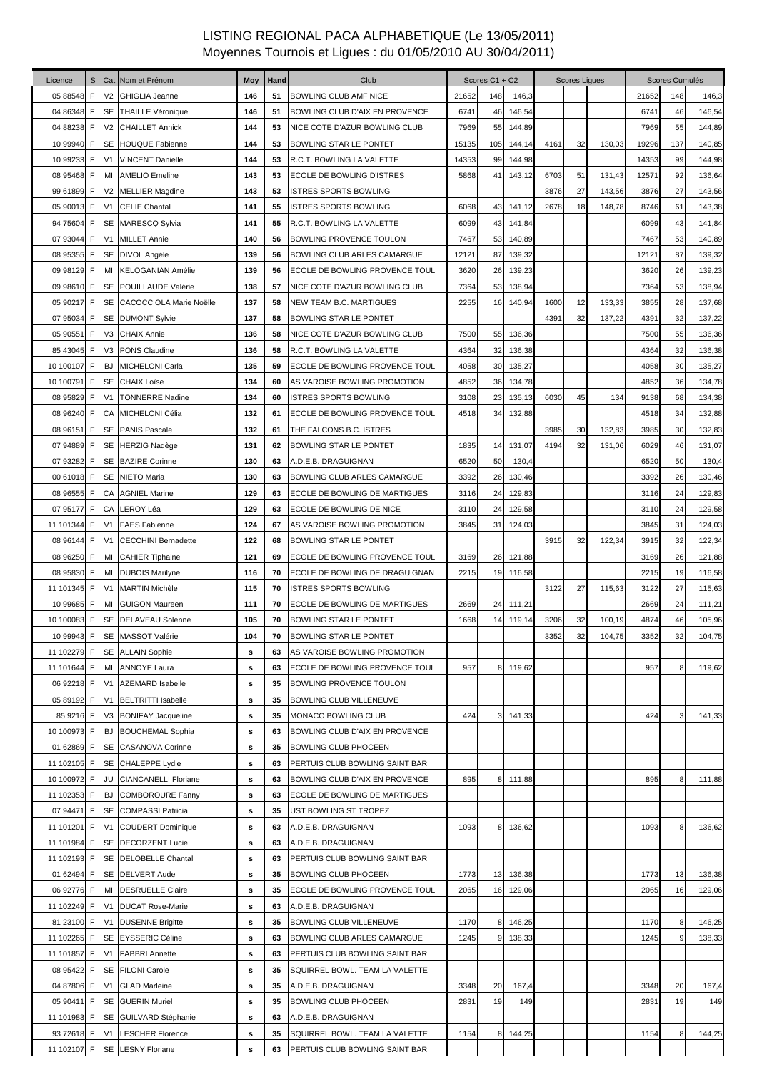| Licence     | S |                | Cat Nom et Prénom           | Moy | Hand | Club                           |       | Scores C1 + C2  |        |      | <b>Scores Ligues</b> |        |       | Scores Cumulés |        |
|-------------|---|----------------|-----------------------------|-----|------|--------------------------------|-------|-----------------|--------|------|----------------------|--------|-------|----------------|--------|
| 05 88548    | F | V <sub>2</sub> | <b>GHIGLIA Jeanne</b>       | 146 | 51   | <b>BOWLING CLUB AMF NICE</b>   | 21652 | 148             | 146,3  |      |                      |        | 21652 | 148            | 146,3  |
| 04 86348 F  |   |                | SE THAILLE Véronique        | 146 | 51   | BOWLING CLUB D'AIX EN PROVENCE | 6741  | 46              | 146,54 |      |                      |        | 6741  | 46             | 146,54 |
| 04 88238    | F |                | V2 CHAILLET Annick          | 144 | 53   | NICE COTE D'AZUR BOWLING CLUB  | 7969  | 55              | 144,89 |      |                      |        | 7969  | 55             | 144,89 |
| 10 99940 F  |   |                | SE HOUQUE Fabienne          | 144 | 53   | BOWLING STAR LE PONTET         | 15135 | 105             | 144,14 | 4161 | 32                   | 130,03 | 19296 | 137            | 140,85 |
| 10 99233    | F | V <sub>1</sub> | <b>VINCENT Danielle</b>     | 144 | 53   | R.C.T. BOWLING LA VALETTE      | 14353 | 99              | 144,98 |      |                      |        | 14353 | 99             | 144,98 |
| 08 95468 F  |   | MI             | <b>AMELIO Emeline</b>       | 143 | 53   | ECOLE DE BOWLING D'ISTRES      | 5868  | 41              | 143,12 | 6703 | 51                   | 131,43 | 12571 | 92             | 136,64 |
| 99 61899    | F |                | V2 MELLIER Magdine          | 143 | 53   | <b>ISTRES SPORTS BOWLING</b>   |       |                 |        | 3876 | 27                   | 143,56 | 3876  | 27             | 143,56 |
| 05 90013 F  |   | V <sub>1</sub> | <b>CELIE Chantal</b>        | 141 | 55   | <b>ISTRES SPORTS BOWLING</b>   | 6068  | 43              | 141,12 | 2678 | 18                   | 148,78 | 8746  | 61             | 143,38 |
| 94 75604 F  |   |                | SE MARESCQ Sylvia           | 141 | 55   | R.C.T. BOWLING LA VALETTE      | 6099  | 43              | 141,84 |      |                      |        | 6099  | 43             | 141,84 |
| 07 93044    | F | V <sub>1</sub> | <b>MILLET Annie</b>         | 140 | 56   | <b>BOWLING PROVENCE TOULON</b> | 7467  | 53              | 140,89 |      |                      |        | 7467  | 53             | 140,89 |
| 08 95355    | F |                | SE DIVOL Angèle             | 139 | 56   | BOWLING CLUB ARLES CAMARGUE    | 12121 | 87              | 139,32 |      |                      |        | 12121 | 87             | 139,32 |
| 09 98129    | F | MI             | <b>KELOGANIAN Amélie</b>    | 139 | 56   | ECOLE DE BOWLING PROVENCE TOUL | 3620  | 26              | 139,23 |      |                      |        | 3620  | 26             | 139,23 |
| 09 98610 F  |   |                | SE POUILLAUDE Valérie       | 138 | 57   | NICE COTE D'AZUR BOWLING CLUB  | 7364  | 53              | 138,94 |      |                      |        | 7364  | 53             | 138,94 |
| 05 90217 F  |   |                | SE CACOCCIOLA Marie Noëlle  | 137 | 58   | <b>NEW TEAM B.C. MARTIGUES</b> | 2255  | 16              | 140,94 | 1600 | 12                   | 133,33 | 3855  | 28             | 137,68 |
| 07 95034 F  |   |                | SE DUMONT Sylvie            | 137 | 58   | BOWLING STAR LE PONTET         |       |                 |        | 4391 | 32                   | 137,22 | 4391  | 32             | 137,22 |
| 05 90551 F  |   |                | V3 CHAIX Annie              | 136 | 58   | NICE COTE D'AZUR BOWLING CLUB  | 7500  | 55              | 136,36 |      |                      |        | 7500  | 55             | 136,36 |
| 85 43045 F  |   |                | V3 PONS Claudine            | 136 | 58   | R.C.T. BOWLING LA VALETTE      | 4364  | 32              | 136,38 |      |                      |        | 4364  | 32             | 136,38 |
| 10 100107 F |   | BJ             | MICHELONI Carla             | 135 | 59   | ECOLE DE BOWLING PROVENCE TOUL | 4058  | 30              | 135,27 |      |                      |        | 4058  | 30             | 135,27 |
| 10 100791   | F |                | SE CHAIX Loïse              | 134 | 60   | AS VAROISE BOWLING PROMOTION   | 4852  | 36              | 134,78 |      |                      |        | 4852  | 36             | 134,78 |
| 08 95829 F  |   | V <sub>1</sub> | <b>TONNERRE Nadine</b>      | 134 | 60   | <b>ISTRES SPORTS BOWLING</b>   | 3108  | 23              | 135,13 | 6030 | 45                   | 134    | 9138  | 68             | 134,38 |
| 08 96240 F  |   |                | CA MICHELONI Célia          | 132 | 61   | ECOLE DE BOWLING PROVENCE TOUL | 4518  | 34              | 132,88 |      |                      |        | 4518  | 34             | 132,88 |
| 08 96151 F  |   |                | SE PANIS Pascale            | 132 | 61   | THE FALCONS B.C. ISTRES        |       |                 |        | 3985 | 30                   | 132,83 | 3985  | 30             | 132,83 |
| 07 94889    | F |                | SE HERZIG Nadège            | 131 | 62   | BOWLING STAR LE PONTET         | 1835  | 14              | 131,07 | 4194 | 32                   | 131,06 | 6029  | 46             | 131,07 |
| 07 93282    | F |                | SE BAZIRE Corinne           | 130 | 63   | A.D.E.B. DRAGUIGNAN            | 6520  | 50              | 130,4  |      |                      |        | 6520  | 50             | 130,4  |
| 00 61018 F  |   | SE             | <b>NIETO Maria</b>          | 130 | 63   | BOWLING CLUB ARLES CAMARGUE    | 3392  | 26              | 130,46 |      |                      |        | 3392  | 26             | 130,46 |
| 08 96555    | F |                | <b>CA</b> AGNIEL Marine     | 129 | 63   | ECOLE DE BOWLING DE MARTIGUES  | 3116  | 24              | 129,83 |      |                      |        | 3116  | 24             | 129,83 |
| 07 95177 F  |   |                | CA LEROY Léa                | 129 | 63   | ECOLE DE BOWLING DE NICE       | 3110  | 24              | 129,58 |      |                      |        | 3110  | 24             | 129,58 |
| 11 101344   | F | V1             | <b>FAES Fabienne</b>        | 124 | 67   | AS VAROISE BOWLING PROMOTION   | 3845  | 31              | 124,03 |      |                      |        | 3845  | 31             | 124,03 |
| 08 96144 F  |   | V <sub>1</sub> | <b>CECCHINI Bernadette</b>  | 122 | 68   | BOWLING STAR LE PONTET         |       |                 |        | 3915 | 32                   | 122,34 | 3915  | 32             | 122,34 |
| 08 96250    | F | MI             | <b>CAHIER Tiphaine</b>      | 121 | 69   | ECOLE DE BOWLING PROVENCE TOUL | 3169  | 26              | 121,88 |      |                      |        | 3169  | 26             | 121,88 |
| 08 95830    | F | MI             | <b>DUBOIS Marilyne</b>      | 116 | 70   | ECOLE DE BOWLING DE DRAGUIGNAN | 2215  | 19              | 116,58 |      |                      |        | 2215  | 19             | 116,58 |
| 11 101345   | F | V <sub>1</sub> | <b>MARTIN Michèle</b>       | 115 | 70   | <b>ISTRES SPORTS BOWLING</b>   |       |                 |        | 3122 | 27                   | 115,63 | 3122  | 27             | 115,63 |
| 10 99685 F  |   | MI             | <b>GUIGON Maureen</b>       | 111 | 70   | ECOLE DE BOWLING DE MARTIGUES  | 2669  | 24              | 111,21 |      |                      |        | 2669  | 24             | 111,21 |
| 10 100083 F |   | <b>SE</b>      | <b>DELAVEAU Solenne</b>     | 105 | 70   | BOWLING STAR LE PONTET         | 1668  | 14              | 119,14 | 3206 | 32                   | 100,19 | 4874  | 46             | 105,96 |
| 10 99943 F  |   |                | SE MASSOT Valérie           | 104 | 70   | BOWLING STAR LE PONTET         |       |                 |        | 3352 | 32                   | 104,75 | 3352  | 32             | 104,75 |
| 11 102279 F |   |                | SE ALLAIN Sophie            | s   | 63   | AS VAROISE BOWLING PROMOTION   |       |                 |        |      |                      |        |       |                |        |
| 11 101644   | F | MI             | <b>ANNOYE Laura</b>         | s   | 63   | ECOLE DE BOWLING PROVENCE TOUL | 957   | 81              | 119,62 |      |                      |        | 957   | 8              | 119,62 |
| 06 92218 F  |   | V <sub>1</sub> | <b>AZEMARD Isabelle</b>     | s   | 35   | BOWLING PROVENCE TOULON        |       |                 |        |      |                      |        |       |                |        |
| 05 89192 F  |   | V <sub>1</sub> | <b>BELTRITTI Isabelle</b>   | s   | 35   | BOWLING CLUB VILLENEUVE        |       |                 |        |      |                      |        |       |                |        |
| 85 9216 F   |   |                | V3 BONIFAY Jacqueline       | s   | 35   | <b>MONACO BOWLING CLUB</b>     | 424   | 3 <sub>l</sub>  | 141,33 |      |                      |        | 424   |                | 141,33 |
| 10 100973 F |   | BJ             | <b>BOUCHEMAL Sophia</b>     | s   | 63   | BOWLING CLUB D'AIX EN PROVENCE |       |                 |        |      |                      |        |       |                |        |
| 01 62869 F  |   |                | SE CASANOVA Corinne         | s   | 35   | BOWLING CLUB PHOCEEN           |       |                 |        |      |                      |        |       |                |        |
| 11 102105 F |   |                | SE CHALEPPE Lydie           | s   | 63   | PERTUIS CLUB BOWLING SAINT BAR |       |                 |        |      |                      |        |       |                |        |
| 10 100972   | F | JU             | <b>CIANCANELLI Floriane</b> | s   | 63   | BOWLING CLUB D'AIX EN PROVENCE | 895   | 8               | 111,88 |      |                      |        | 895   | 8              | 111,88 |
| 11 102353 F |   | BJ             | <b>COMBOROURE Fanny</b>     | s   | 63   | ECOLE DE BOWLING DE MARTIGUES  |       |                 |        |      |                      |        |       |                |        |
| 07 94471 F  |   |                | SE COMPASSI Patricia        | s   | 35   | UST BOWLING ST TROPEZ          |       |                 |        |      |                      |        |       |                |        |
| 11 101201 F |   | V <sub>1</sub> | <b>COUDERT Dominique</b>    | s   | 63   | A.D.E.B. DRAGUIGNAN            | 1093  | 8               | 136,62 |      |                      |        | 1093  | 8              | 136,62 |
| 11 101984 F |   |                | SE DECORZENT Lucie          | s   | 63   | A.D.E.B. DRAGUIGNAN            |       |                 |        |      |                      |        |       |                |        |
| 11 102193 F |   |                | SE DELOBELLE Chantal        | s   | 63   | PERTUIS CLUB BOWLING SAINT BAR |       |                 |        |      |                      |        |       |                |        |
| 01 62494 F  |   |                | SE DELVERT Aude             | s   | 35   | BOWLING CLUB PHOCEEN           | 1773  | 13 <sub>l</sub> | 136,38 |      |                      |        | 1773  | 13             | 136,38 |
| 06 92776 F  |   | MI             | <b>DESRUELLE Claire</b>     | s   | 35   | ECOLE DE BOWLING PROVENCE TOUL | 2065  | 16              | 129,06 |      |                      |        | 2065  | 16             | 129,06 |
| 11 102249 F |   | V <sub>1</sub> | <b>DUCAT Rose-Marie</b>     | s   | 63   | A.D.E.B. DRAGUIGNAN            |       |                 |        |      |                      |        |       |                |        |
| 81 23100 F  |   | V1             | <b>DUSENNE Brigitte</b>     | s   | 35   | BOWLING CLUB VILLENEUVE        | 1170  | 8               | 146,25 |      |                      |        | 1170  |                | 146,25 |
| 11 102265 F |   |                | SE EYSSERIC Céline          | s   | 63   | BOWLING CLUB ARLES CAMARGUE    | 1245  | 9               | 138,33 |      |                      |        | 1245  |                | 138,33 |
| 11 101857 F |   | V <sub>1</sub> | <b>FABBRI Annette</b>       | s   | 63   | PERTUIS CLUB BOWLING SAINT BAR |       |                 |        |      |                      |        |       |                |        |
| 08 95422 F  |   |                | SE FILONI Carole            | s   | 35   | SQUIRREL BOWL. TEAM LA VALETTE |       |                 |        |      |                      |        |       |                |        |
| 04 87806 F  |   | V <sub>1</sub> | <b>GLAD Marleine</b>        | s   | 35   | A.D.E.B. DRAGUIGNAN            | 3348  | 20              | 167,4  |      |                      |        | 3348  | 20             | 167,4  |
| 05 90411 F  |   |                | <b>SE</b> GUERIN Muriel     | s   | 35   | BOWLING CLUB PHOCEEN           | 2831  | 19              | 149    |      |                      |        | 2831  | 19             | 149    |
| 11 101983 F |   |                | SE GUILVARD Stéphanie       | s   | 63   | A.D.E.B. DRAGUIGNAN            |       |                 |        |      |                      |        |       |                |        |
| 93 72618 F  |   | V <sub>1</sub> | <b>LESCHER Florence</b>     | s   | 35   | SQUIRREL BOWL. TEAM LA VALETTE | 1154  | 8               | 144,25 |      |                      |        | 1154  | 8              | 144,25 |
| 11 102107 F |   |                | SE LESNY Floriane           | s   | 63   | PERTUIS CLUB BOWLING SAINT BAR |       |                 |        |      |                      |        |       |                |        |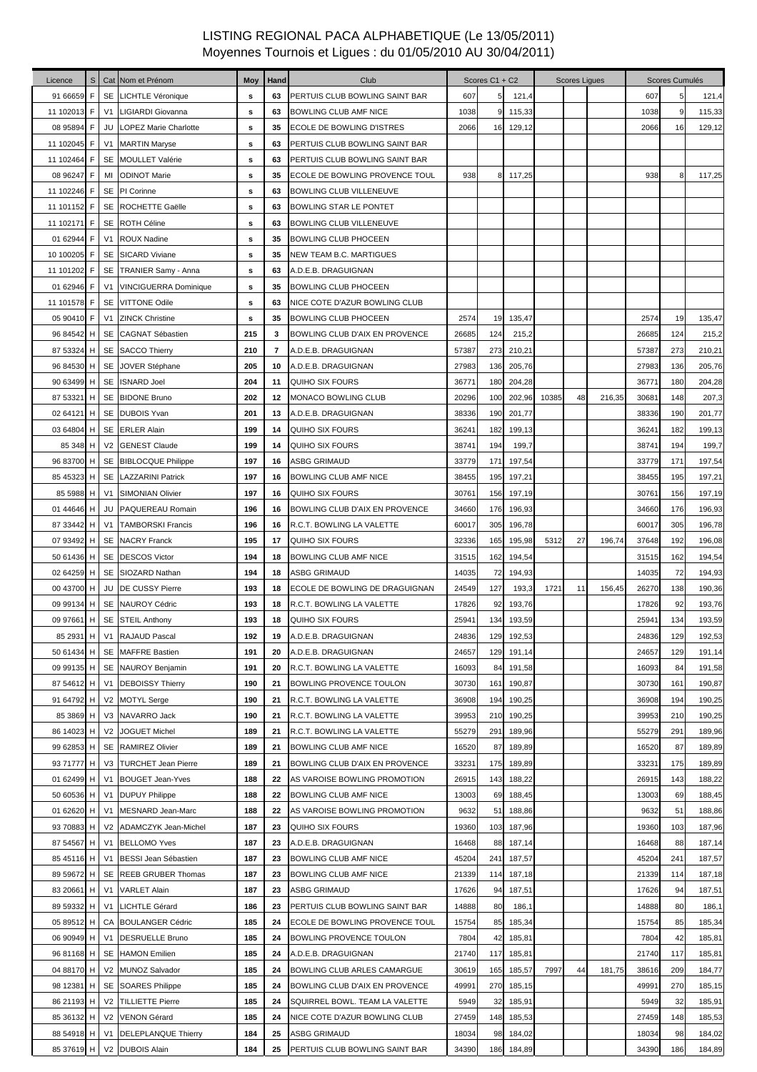| Licence     | S |                | Cat Nom et Prénom                                | Moy | Hand | Club                                                          |                   | Scores C1 + C2 |        |       | <b>Scores Liques</b> |        |       | Scores Cumulés |        |
|-------------|---|----------------|--------------------------------------------------|-----|------|---------------------------------------------------------------|-------------------|----------------|--------|-------|----------------------|--------|-------|----------------|--------|
| 91 66659    | F |                | SE LICHTLE Véronique                             | s   | 63   | PERTUIS CLUB BOWLING SAINT BAR                                | 607               | 5              | 121,4  |       |                      |        | 607   |                | 121,4  |
| 11 102013   | F |                | V1 LIGIARDI Giovanna                             | s   | 63   | <b>BOWLING CLUB AMF NICE</b>                                  | 1038              | 9              | 115,33 |       |                      |        | 1038  | 9              | 115,33 |
| 08 95894    | F | JU             | <b>LOPEZ Marie Charlotte</b>                     | s   | 35   | ECOLE DE BOWLING D'ISTRES                                     | 2066              | 16             | 129,12 |       |                      |        | 2066  | 16             | 129,12 |
| 11 102045   | F |                | V1 MARTIN Maryse                                 | s   | 63   | PERTUIS CLUB BOWLING SAINT BAR                                |                   |                |        |       |                      |        |       |                |        |
| 11 102464 F |   |                | SE MOULLET Valérie                               | s   | 63   | PERTUIS CLUB BOWLING SAINT BAR                                |                   |                |        |       |                      |        |       |                |        |
| 08 96247    | F | MI             | <b>ODINOT Marie</b>                              | s   | 35   | ECOLE DE BOWLING PROVENCE TOUL                                | 938               | 8              | 117,25 |       |                      |        | 938   |                | 117,25 |
| 11 102246   | F |                | SE PI Corinne                                    | s   | 63   | BOWLING CLUB VILLENEUVE                                       |                   |                |        |       |                      |        |       |                |        |
| 11 101152 F |   |                | SE ROCHETTE Gaëlle                               | s   | 63   | BOWLING STAR LE PONTET                                        |                   |                |        |       |                      |        |       |                |        |
| 11 102171 F |   |                | SE ROTH Céline                                   | s   | 63   | BOWLING CLUB VILLENEUVE                                       |                   |                |        |       |                      |        |       |                |        |
| 01 62944 F  |   | V <sub>1</sub> | <b>ROUX Nadine</b>                               | s   | 35   | BOWLING CLUB PHOCEEN                                          |                   |                |        |       |                      |        |       |                |        |
| 10 100205 F |   |                | SE SICARD Viviane                                | s   | 35   | NEW TEAM B.C. MARTIGUES                                       |                   |                |        |       |                      |        |       |                |        |
| 11 101202   | F |                | SE TRANIER Samy - Anna                           | s   | 63   | A.D.E.B. DRAGUIGNAN                                           |                   |                |        |       |                      |        |       |                |        |
| 01 62946    | F | V <sub>1</sub> |                                                  |     | 35   |                                                               |                   |                |        |       |                      |        |       |                |        |
| 11 101578   | F |                | <b>VINCIGUERRA Dominique</b><br>SE VITTONE Odile | s   | 63   | <b>BOWLING CLUB PHOCEEN</b>                                   |                   |                |        |       |                      |        |       |                |        |
| 05 90410    | F | V <sub>1</sub> |                                                  | s   | 35   | NICE COTE D'AZUR BOWLING CLUB                                 |                   |                |        |       |                      |        | 2574  |                |        |
|             |   |                | <b>ZINCK Christine</b>                           | s   |      | <b>BOWLING CLUB PHOCEEN</b><br>BOWLING CLUB D'AIX EN PROVENCE | 2574              | 19             | 135,47 |       |                      |        |       | 19             | 135,47 |
| 96 84542 H  |   |                | SE CAGNAT Sébastien                              | 215 | 3    |                                                               | 26685             | 124            | 215,2  |       |                      |        | 26685 | 124            | 215,2  |
| 87 53324 H  |   |                | SE SACCO Thierry                                 | 210 | 7    | A.D.E.B. DRAGUIGNAN                                           | 57387             | 273            | 210,21 |       |                      |        | 57387 | 273            | 210,21 |
| 96 84530 H  |   |                | SE JOVER Stéphane                                | 205 | 10   | A.D.E.B. DRAGUIGNAN                                           | 27983             | 136            | 205,76 |       |                      |        | 27983 | 136            | 205,76 |
| 90 63499 H  |   |                | SE ISNARD Joel                                   | 204 | 11   | QUIHO SIX FOURS                                               | 36771             | 180            | 204,28 |       |                      |        | 36771 | 180            | 204,28 |
| 87 53321 H  |   |                | SE BIDONE Bruno                                  | 202 | 12   | MONACO BOWLING CLUB                                           | 20296             | 100            | 202,96 | 10385 | 48                   | 216,35 | 30681 | 148            | 207,3  |
| 02 64121 H  |   |                | SE DUBOIS Yvan                                   | 201 | 13   | A.D.E.B. DRAGUIGNAN                                           | 38336             | 190            | 201,77 |       |                      |        | 38336 | 190            | 201,77 |
| 03 64804 H  |   |                | SE ERLER Alain                                   | 199 | 14   | <b>QUIHO SIX FOURS</b>                                        | 36241             | 182            | 199,13 |       |                      |        | 36241 | 182            | 199,13 |
| 85 348 H    |   |                | V2 GENEST Claude                                 | 199 | 14   | QUIHO SIX FOURS                                               | 38741             | 194            | 199,7  |       |                      |        | 38741 | 194            | 199,7  |
| 96 83700 H  |   |                | SE BIBLOCQUE Philippe                            | 197 | 16   | ASBG GRIMAUD                                                  | 33779             | 171            | 197,54 |       |                      |        | 33779 | 171            | 197,54 |
| 85 45323 H  |   |                | <b>SE</b> LAZZARINI Patrick                      | 197 | 16   | BOWLING CLUB AMF NICE                                         | 38455             | 195            | 197,21 |       |                      |        | 38455 | 195            | 197,21 |
| 85 5988     | H | V <sub>1</sub> | <b>SIMONIAN Olivier</b>                          | 197 | 16   | QUIHO SIX FOURS                                               | 30761             | 156            | 197,19 |       |                      |        | 30761 | 156            | 197,19 |
| 01 44 646   | H | JU             | PAQUEREAU Romain                                 | 196 | 16   | BOWLING CLUB D'AIX EN PROVENCE                                | 34660             | 176            | 196,93 |       |                      |        | 34660 | 176            | 196,93 |
| 87 33442 H  |   |                | V1 TAMBORSKI Francis                             | 196 | 16   | R.C.T. BOWLING LA VALETTE                                     | 60017             | 305            | 196,78 |       |                      |        | 60017 | 305            | 196,78 |
| 07 93492 H  |   |                | <b>SE</b> NACRY Franck                           | 195 | 17   | QUIHO SIX FOURS                                               | 32336             | 165            | 195,98 | 5312  | 27                   | 196,74 | 37648 | 192            | 196,08 |
| 50 61436 H  |   |                | SE DESCOS Victor                                 | 194 | 18   | BOWLING CLUB AMF NICE                                         | 31515             | 162            | 194,54 |       |                      |        | 31515 | 162            | 194,54 |
| 02 64259 H  |   |                | SE SIOZARD Nathan                                | 194 | 18   | ASBG GRIMAUD                                                  | 14035             | 72             | 194,93 |       |                      |        | 14035 | 72             | 194,93 |
| 00 43700    | H | JU             | DE CUSSY Pierre                                  | 193 | 18   | ECOLE DE BOWLING DE DRAGUIGNAN                                | 24549             | 127            | 193,3  | 1721  | 11                   | 156,45 | 26270 | 138            | 190,36 |
| 09 99134 H  |   |                | SE NAUROY Cédric                                 | 193 | 18   | R.C.T. BOWLING LA VALETTE                                     | 17826             | 92             | 193,76 |       |                      |        | 17826 | 92             | 193,76 |
|             |   |                | 09 97661 H SE STEIL Anthony                      | 193 | 18   | QUIHO SIX FOURS                                               | 25941             | 134            | 193,59 |       |                      |        | 25941 | 134            | 193,59 |
|             |   |                | 85 2931 H   V1   RAJAUD Pascal                   | 192 | 19   | A.D.E.B. DRAGUIGNAN                                           | 24836             | 129            | 192,53 |       |                      |        | 24836 | 129            | 192,53 |
| 50 61434 H  |   |                | SE MAFFRE Bastien                                | 191 | 20   | A.D.E.B. DRAGUIGNAN                                           | 24657             | 129            | 191,14 |       |                      |        | 24657 | 129            | 191,14 |
| 09 99135 H  |   |                | SE NAUROY Benjamin                               | 191 | 20   | R.C.T. BOWLING LA VALETTE                                     | 16093             | 84             | 191,58 |       |                      |        | 16093 | 84             | 191,58 |
| 87 54612    | H | V <sub>1</sub> | <b>DEBOISSY Thierry</b>                          | 190 | 21   | <b>BOWLING PROVENCE TOULON</b>                                | 30730             | 161            | 190,87 |       |                      |        | 30730 | 161            | 190,87 |
| 91 64792 H  |   |                | V2 MOTYL Serge                                   | 190 | 21   | R.C.T. BOWLING LA VALETTE                                     | 36908             | 194            | 190,25 |       |                      |        | 36908 | 194            | 190,25 |
| 85 3869     | H |                | V3 NAVARRO Jack                                  | 190 | 21   | R.C.T. BOWLING LA VALETTE                                     | 39953             | 210            | 190,25 |       |                      |        | 39953 | 210            | 190,25 |
| 86 14023    | H |                | V2 JOGUET Michel                                 | 189 | 21   | R.C.T. BOWLING LA VALETTE                                     | 55279             | 291            | 189,96 |       |                      |        | 55279 | 291            | 189,96 |
| 99 62853 H  |   |                | SE RAMIREZ Olivier                               | 189 | 21   | BOWLING CLUB AMF NICE                                         | 16520             | 87             | 189,89 |       |                      |        | 16520 | 87             | 189,89 |
| 93 71777    | H |                | V3 TURCHET Jean Pierre                           | 189 | 21   | BOWLING CLUB D'AIX EN PROVENCE                                | 33231             | 175            | 189,89 |       |                      |        | 33231 | 175            | 189,89 |
| 01 62499    | H | V <sub>1</sub> | <b>BOUGET Jean-Yves</b>                          | 188 | 22   | AS VAROISE BOWLING PROMOTION                                  | 26915             | 143            | 188,22 |       |                      |        | 26915 | 143            | 188,22 |
| 50 60536    | H | V <sub>1</sub> | <b>DUPUY Philippe</b>                            | 188 | 22   | BOWLING CLUB AMF NICE                                         | 13003             | 69             | 188,45 |       |                      |        | 13003 | 69             | 188,45 |
| 01 62620    | H | V <sub>1</sub> | <b>MESNARD Jean-Marc</b>                         | 188 | 22   | AS VAROISE BOWLING PROMOTION                                  | 9632              | 51             | 188,86 |       |                      |        | 9632  | 51             | 188,86 |
| 93 70883    | H | V <sub>2</sub> | ADAMCZYK Jean-Michel                             | 187 | 23   | QUIHO SIX FOURS                                               | 19360             | 103            | 187,96 |       |                      |        | 19360 | 103            | 187,96 |
| 87 54567 H  |   | V <sub>1</sub> | <b>BELLOMO Yves</b>                              | 187 | 23   | A.D.E.B. DRAGUIGNAN                                           | 16468             | 88             | 187,14 |       |                      |        | 16468 | 88             | 187,14 |
| 85 45116 H  |   | V <sub>1</sub> | <b>BESSI Jean Sébastien</b>                      | 187 | 23   | BOWLING CLUB AMF NICE                                         | 45204             | 241            | 187,57 |       |                      |        | 45204 | 241            | 187,57 |
| 89 59672 H  |   |                | SE REEB GRUBER Thomas                            | 187 | 23   | BOWLING CLUB AMF NICE                                         | 21339             | 114            | 187,18 |       |                      |        | 21339 | 114            | 187,18 |
| 83 20661    | H | V <sub>1</sub> | <b>VARLET Alain</b>                              | 187 | 23   | <b>ASBG GRIMAUD</b>                                           | 17626             | 94             | 187,51 |       |                      |        | 17626 | 94             | 187,51 |
| 89 59332    | H | V <sub>1</sub> | <b>LICHTLE Gérard</b>                            | 186 | 23   | PERTUIS CLUB BOWLING SAINT BAR                                | 14888             | 80             | 186,1  |       |                      |        | 14888 | 80             | 186,1  |
| 05 89512 H  |   |                | CA BOULANGER Cédric                              | 185 | 24   | ECOLE DE BOWLING PROVENCE TOUL                                | 15754             | 85             | 185,34 |       |                      |        | 15754 | 85             | 185,34 |
| 06 90949 H  |   | V <sub>1</sub> | <b>DESRUELLE Bruno</b>                           | 185 | 24   | BOWLING PROVENCE TOULON                                       | 7804              | 42             | 185,81 |       |                      |        | 7804  | 42             | 185,81 |
|             |   |                |                                                  | 185 |      |                                                               |                   |                |        |       |                      |        |       |                |        |
| 96 81168 H  |   |                | SE HAMON Emilien                                 |     | 24   | A.D.E.B. DRAGUIGNAN                                           | 21740             | 117            | 185,81 |       |                      |        | 21740 | 117            | 185,81 |
| 04 88170 H  |   |                | V2 MUNOZ Salvador                                | 185 | 24   | BOWLING CLUB ARLES CAMARGUE                                   | 30619             | 165            | 185,57 | 7997  | 44                   | 181,75 | 38616 | 209            | 184,77 |
| 98 12381 H  |   |                | SE SOARES Philippe                               | 185 | 24   | BOWLING CLUB D'AIX EN PROVENCE                                | 4999 <sup>-</sup> | 270            | 185,15 |       |                      |        | 49991 | 270            | 185,15 |
| 86 21193 H  |   |                | V2 TILLIETTE Pierre                              | 185 | 24   | SQUIRREL BOWL. TEAM LA VALETTE                                | 5949              | 32             | 185,91 |       |                      |        | 5949  | 32             | 185,91 |
| 85 36132 H  |   |                | V2 VENON Gérard                                  | 185 | 24   | NICE COTE D'AZUR BOWLING CLUB                                 | 27459             | 148            | 185,53 |       |                      |        | 27459 | 148            | 185,53 |
| 88 54918 H  |   | V <sub>1</sub> | <b>DELEPLANQUE Thierry</b>                       | 184 | 25   | ASBG GRIMAUD                                                  | 18034             | 98             | 184,02 |       |                      |        | 18034 | 98             | 184,02 |
| 85 37619 H  |   |                | V2 DUBOIS Alain                                  | 184 | 25   | PERTUIS CLUB BOWLING SAINT BAR                                | 34390             | 186            | 184,89 |       |                      |        | 34390 | 186            | 184,89 |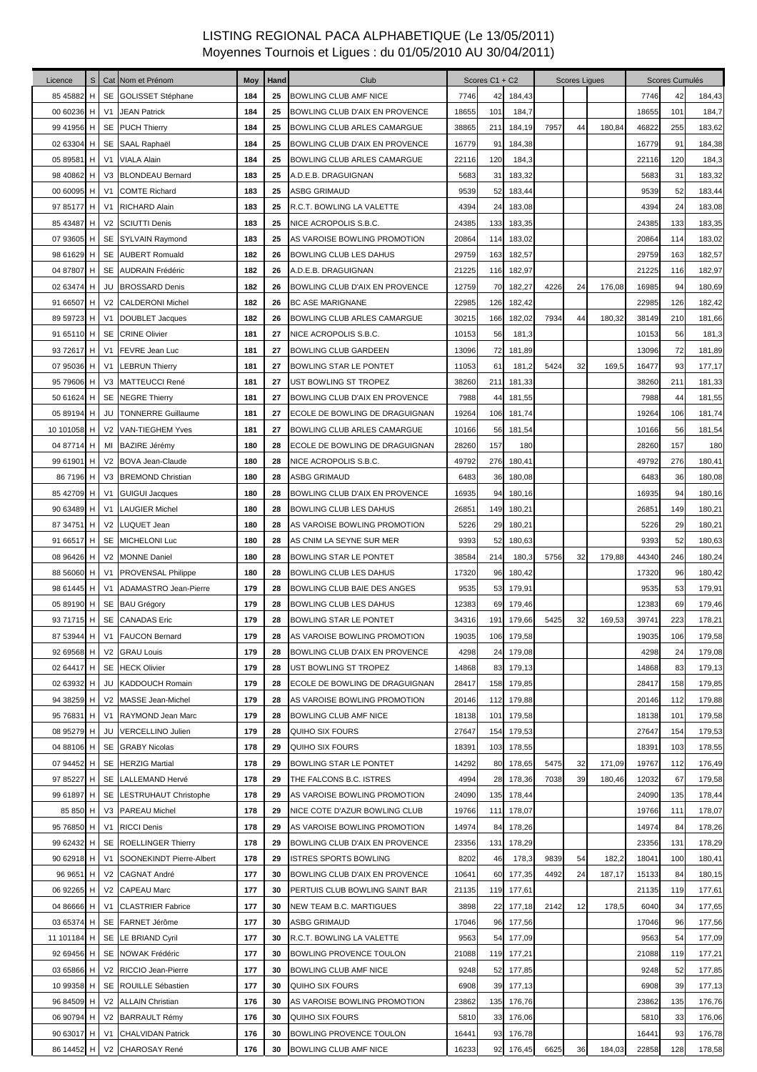| Licence     |   |                | S Cat Nom et Prénom          | Moy | Hand | Club                           |       | Scores C1 + C2 |        |      | <b>Scores Ligues</b> |        |       | Scores Cumulés |        |
|-------------|---|----------------|------------------------------|-----|------|--------------------------------|-------|----------------|--------|------|----------------------|--------|-------|----------------|--------|
| 85 45 882   | H |                | SE GOLISSET Stéphane         | 184 | 25   | BOWLING CLUB AMF NICE          | 7746  | 42             | 184,43 |      |                      |        | 7746  | 42             | 184,43 |
| 00 60236 H  |   | V1             | <b>JEAN Patrick</b>          | 184 | 25   | BOWLING CLUB D'AIX EN PROVENCE | 18655 | 101            | 184,7  |      |                      |        | 18655 | 101            | 184,7  |
| 99 41956 H  |   |                | SE PUCH Thierry              | 184 | 25   | BOWLING CLUB ARLES CAMARGUE    | 38865 | 211            | 184,19 | 7957 | 44                   | 180,84 | 46822 | 255            | 183,62 |
| 02 63304 H  |   |                | SE SAAL Raphaël              | 184 | 25   | BOWLING CLUB D'AIX EN PROVENCE | 16779 | 91             | 184,38 |      |                      |        | 16779 | 91             | 184,38 |
| 05 89581    | н | V <sub>1</sub> | <b>VIALA Alain</b>           | 184 | 25   | BOWLING CLUB ARLES CAMARGUE    | 22116 | 120            | 184,3  |      |                      |        | 22116 | 120            | 184,3  |
| 98 40862 H  |   |                | V3 BLONDEAU Bernard          | 183 | 25   | A.D.E.B. DRAGUIGNAN            | 5683  | 31             | 183,32 |      |                      |        | 5683  | 31             | 183,32 |
| 00 60095 H  |   | V1             | <b>COMTE Richard</b>         | 183 | 25   | ASBG GRIMAUD                   | 9539  | 52             | 183,44 |      |                      |        | 9539  | 52             | 183,44 |
| 97 85177 H  |   | V1             | <b>RICHARD Alain</b>         | 183 | 25   | R.C.T. BOWLING LA VALETTE      | 4394  | 24             | 183,08 |      |                      |        | 4394  | 24             | 183,08 |
| 85 43487 H  |   | V <sub>2</sub> | <b>SCIUTTI Denis</b>         | 183 | 25   | NICE ACROPOLIS S.B.C.          | 24385 | 133            | 183,35 |      |                      |        | 24385 | 133            | 183,35 |
| 07 93605 H  |   |                | SE SYLVAIN Raymond           | 183 | 25   | AS VAROISE BOWLING PROMOTION   | 20864 | 114            | 183,02 |      |                      |        | 20864 | 114            | 183,02 |
| 98 61629 H  |   | <b>SE</b>      | <b>AUBERT Romuald</b>        | 182 | 26   | BOWLING CLUB LES DAHUS         | 29759 | 163            | 182,57 |      |                      |        | 29759 | 163            | 182,57 |
| 04 87807 H  |   |                | SE AUDRAIN Frédéric          | 182 | 26   | A.D.E.B. DRAGUIGNAN            | 21225 | 116            | 182,97 |      |                      |        | 21225 | 116            | 182,97 |
| 02 63474 H  |   | JU             | <b>BROSSARD Denis</b>        | 182 | 26   | BOWLING CLUB D'AIX EN PROVENCE | 12759 | 70             | 182,27 | 4226 | 24                   | 176,08 | 16985 | 94             | 180,69 |
| 91 66507 H  |   | V <sub>2</sub> | <b>CALDERONI Michel</b>      | 182 | 26   | <b>BC ASE MARIGNANE</b>        | 22985 | 126            | 182,42 |      |                      |        | 22985 | 126            | 182,42 |
| 89 59723    | н | V <sub>1</sub> | DOUBLET Jacques              | 182 | 26   | BOWLING CLUB ARLES CAMARGUE    | 30215 | 166            | 182,02 | 7934 | 44                   | 180,32 | 38149 | 210            | 181,66 |
| 91 65110 H  |   |                | <b>SE CRINE Olivier</b>      | 181 | 27   | NICE ACROPOLIS S.B.C.          | 10153 | 56             | 181,3  |      |                      |        | 10153 | 56             | 181,3  |
| 93 72617 H  |   | V1             | <b>FEVRE Jean Luc</b>        | 181 | 27   | BOWLING CLUB GARDEEN           | 13096 | 72             | 181,89 |      |                      |        | 13096 | 72             | 181,89 |
| 07 95036 H  |   | V <sub>1</sub> | <b>LEBRUN Thierry</b>        | 181 | 27   | <b>BOWLING STAR LE PONTET</b>  | 11053 | 61             | 181,2  | 5424 | 32                   | 169,5  | 16477 | 93             | 177,17 |
| 95 79606 H  |   |                | V3 MATTEUCCI René            | 181 | 27   | UST BOWLING ST TROPEZ          | 38260 | 211            | 181,33 |      |                      |        | 38260 | 211            | 181,33 |
| 50 61624 H  |   |                | SE NEGRE Thierry             | 181 | 27   | BOWLING CLUB D'AIX EN PROVENCE | 7988  | 44             | 181,55 |      |                      |        | 7988  | 44             | 181,55 |
| 05 89194 H  |   |                | <b>JU</b> TONNERRE Guillaume | 181 | 27   | ECOLE DE BOWLING DE DRAGUIGNAN | 19264 | 106            | 181,74 |      |                      |        | 19264 | 106            | 181,74 |
| 10 101058 H |   |                | V2 VAN-TIEGHEM Yves          | 181 | 27   | BOWLING CLUB ARLES CAMARGUE    | 10166 | 56             | 181,54 |      |                      |        | 10166 | 56             | 181,54 |
| 04 87714 H  |   | MI             | BAZIRE Jérémy                | 180 | 28   | ECOLE DE BOWLING DE DRAGUIGNAN | 28260 | 157            | 180    |      |                      |        | 28260 | 157            | 180    |
| 99 61901 H  |   | V <sub>2</sub> | BOVA Jean-Claude             | 180 | 28   | NICE ACROPOLIS S.B.C.          | 49792 | 276            | 180,41 |      |                      |        | 49792 | 276            | 180,41 |
| 86 7196 H   |   | V <sub>3</sub> | <b>BREMOND Christian</b>     | 180 | 28   | <b>ASBG GRIMAUD</b>            | 6483  | 36             | 180,08 |      |                      |        | 6483  | 36             | 180,08 |
| 85 42709 H  |   | V1             | <b>GUIGUI Jacques</b>        | 180 | 28   | BOWLING CLUB D'AIX EN PROVENCE | 16935 | 94             | 180,16 |      |                      |        | 16935 | 94             | 180,16 |
| 90 63489 H  |   | V1             | <b>LAUGIER Michel</b>        | 180 | 28   | <b>BOWLING CLUB LES DAHUS</b>  | 26851 | 149            | 180,21 |      |                      |        | 26851 | 149            | 180,21 |
| 87 34751 H  |   |                | V2 LUQUET Jean               | 180 | 28   | AS VAROISE BOWLING PROMOTION   | 5226  | 29             | 180,21 |      |                      |        | 5226  | 29             | 180,21 |
| 91 66517 H  |   |                | SE MICHELONI Luc             | 180 | 28   | AS CNIM LA SEYNE SUR MER       | 9393  | 52             | 180,63 |      |                      |        | 9393  | 52             | 180,63 |
| 08 96426 H  |   |                | V2 MONNE Daniel              | 180 | 28   | BOWLING STAR LE PONTET         | 38584 | 214            | 180,3  | 5756 | 32                   | 179,88 | 44340 | 246            | 180,24 |
| 88 56060 H  |   |                | V1 PROVENSAL Philippe        | 180 | 28   | <b>BOWLING CLUB LES DAHUS</b>  | 17320 | 96             | 180,42 |      |                      |        | 17320 | 96             | 180,42 |
| 98 61445 H  |   | V1             | ADAMASTRO Jean-Pierre        | 179 | 28   | BOWLING CLUB BAIE DES ANGES    | 9535  | 53             | 179,91 |      |                      |        | 9535  | 53             | 179,91 |
| 05 89190 H  |   |                | SE BAU Grégory               | 179 | 28   | BOWLING CLUB LES DAHUS         | 12383 | 69             | 179,46 |      |                      |        | 12383 | 69             | 179,46 |
| 93 71715 H  |   |                | SE CANADAS Eric              | 179 | 28   | BOWLING STAR LE PONTET         | 34316 | 191            | 179,66 | 5425 | 32                   | 169,53 | 39741 | 223            | 178,21 |
|             |   |                | 87 53944 H V1 FAUCON Bernard | 179 | 28   | AS VAROISE BOWLING PROMOTION   | 19035 | 106            | 179,58 |      |                      |        | 19035 | 106            | 179,58 |
| 92 69568 H  |   |                | V2 GRAU Louis                | 179 | 28   | BOWLING CLUB D'AIX EN PROVENCE | 4298  | 24             | 179,08 |      |                      |        | 4298  | 24             | 179,08 |
| 02 64417 H  |   |                | SE HECK Olivier              | 179 | 28   | UST BOWLING ST TROPEZ          | 14868 | 83             | 179,13 |      |                      |        | 14868 | 83             | 179,13 |
| 02 63932 H  |   | JU             | KADDOUCH Romain              | 179 | 28   | ECOLE DE BOWLING DE DRAGUIGNAN | 28417 | 158            | 179,85 |      |                      |        | 28417 | 158            | 179,85 |
| 94 38259    | н | V <sub>2</sub> | <b>MASSE Jean-Michel</b>     | 179 | 28   | AS VAROISE BOWLING PROMOTION   | 20146 | 112            | 179,88 |      |                      |        | 20146 | 112            | 179,88 |
| 95 76831    | H | V <sub>1</sub> | RAYMOND Jean Marc            | 179 | 28   | BOWLING CLUB AMF NICE          | 18138 | 101            | 179,58 |      |                      |        | 18138 | 101            | 179,58 |
| 08 95279 H  |   | JU             | <b>VERCELLINO Julien</b>     | 179 | 28   | QUIHO SIX FOURS                | 27647 | 154            | 179,53 |      |                      |        | 27647 | 154            | 179,53 |
| 04 88106 H  |   |                | <b>SE</b> GRABY Nicolas      | 178 | 29   | <b>QUIHO SIX FOURS</b>         | 18391 | 103            | 178,55 |      |                      |        | 18391 | 103            | 178,55 |
| 07 94452 H  |   |                | SE HERZIG Martial            | 178 | 29   | BOWLING STAR LE PONTET         | 14292 | 80             | 178,65 | 5475 | 32                   | 171,09 | 19767 | 112            | 176,49 |
| 97 85227 H  |   | SE             | <b>LALLEMAND Hervé</b>       | 178 | 29   | THE FALCONS B.C. ISTRES        | 4994  | 28             | 178,36 | 7038 | 39                   | 180,46 | 12032 | 67             | 179,58 |
| 99 61897 H  |   | SE             | <b>LESTRUHAUT Christophe</b> | 178 | 29   | AS VAROISE BOWLING PROMOTION   | 24090 | 135            | 178,44 |      |                      |        | 24090 | 135            | 178,44 |
| 85 850 H    |   | V <sub>3</sub> | <b>PAREAU Michel</b>         | 178 | 29   | NICE COTE D'AZUR BOWLING CLUB  | 19766 | 111            | 178,07 |      |                      |        | 19766 | 111            | 178,07 |
| 95 76850 H  |   | V <sub>1</sub> | <b>RICCI Denis</b>           | 178 | 29   | AS VAROISE BOWLING PROMOTION   | 14974 | 84             | 178,26 |      |                      |        | 14974 | 84             | 178,26 |
| 99 62432 H  |   | <b>SE</b>      | <b>ROELLINGER Thierry</b>    | 178 | 29   | BOWLING CLUB D'AIX EN PROVENCE | 23356 | 131            | 178,29 |      |                      |        | 23356 | 131            | 178,29 |
| 90 62918 H  |   | V <sub>1</sub> | SOONEKINDT Pierre-Albert     | 178 | 29   | ISTRES SPORTS BOWLING          | 8202  | 46             | 178,3  | 9839 | 54                   | 182,2  | 18041 | 100            | 180,41 |
| 96 9651 H   |   | V <sub>2</sub> | <b>CAGNAT André</b>          | 177 | 30   | BOWLING CLUB D'AIX EN PROVENCE | 10641 | 60             | 177,35 | 4492 | 24                   | 187,17 | 15133 | 84             | 180,15 |
| 06 92265 H  |   | V <sub>2</sub> | <b>CAPEAU Marc</b>           | 177 | 30   | PERTUIS CLUB BOWLING SAINT BAR | 21135 | 119            | 177,61 |      |                      |        | 21135 | 119            | 177,61 |
| 04 86666 H  |   | V <sub>1</sub> | <b>CLASTRIER Fabrice</b>     | 177 | 30   | <b>NEW TEAM B.C. MARTIGUES</b> | 3898  | 22             | 177,18 | 2142 | 12                   | 178,5  | 6040  | 34             | 177,65 |
| 03 65374 H  |   |                | SE FARNET Jérôme             | 177 | 30   | <b>ASBG GRIMAUD</b>            | 17046 | 96             | 177,56 |      |                      |        | 17046 | 96             | 177,56 |
| 11 101184 H |   |                | SE LE BRIAND Cyril           | 177 | 30   | R.C.T. BOWLING LA VALETTE      | 9563  | 54             | 177,09 |      |                      |        | 9563  | 54             | 177,09 |
| 92 69456 H  |   |                | SE NOWAK Frédéric            | 177 | 30   | BOWLING PROVENCE TOULON        | 21088 | 119            | 177,21 |      |                      |        | 21088 | 119            | 177,21 |
| 03 65866 H  |   |                | V2 RICCIO Jean-Pierre        | 177 | 30   | BOWLING CLUB AMF NICE          | 9248  | 52             | 177,85 |      |                      |        | 9248  | 52             | 177,85 |
| 10 99358 H  |   |                | SE ROUILLE Sébastien         | 177 | 30   | <b>QUIHO SIX FOURS</b>         | 6908  | 39             | 177,13 |      |                      |        | 6908  | 39             | 177,13 |
| 96 84509 H  |   |                | V2 ALLAIN Christian          | 176 | 30   | AS VAROISE BOWLING PROMOTION   | 23862 | 135            | 176,76 |      |                      |        | 23862 | 135            | 176,76 |
| 06 90794 H  |   |                | V2 BARRAULT Rémy             | 176 | 30   | <b>QUIHO SIX FOURS</b>         | 5810  | 33             | 176,06 |      |                      |        | 5810  | 33             | 176,06 |
| 90 63017 H  |   | V <sub>1</sub> | <b>CHALVIDAN Patrick</b>     | 176 | 30   | BOWLING PROVENCE TOULON        | 16441 | 93             | 176,78 |      |                      |        | 16441 | 93             | 176,78 |
| 86 14452 H  |   |                | V2 CHAROSAY René             | 176 | 30   | BOWLING CLUB AMF NICE          | 16233 | 92             | 176,45 | 6625 | 36                   | 184,03 | 22858 | 128            | 178,58 |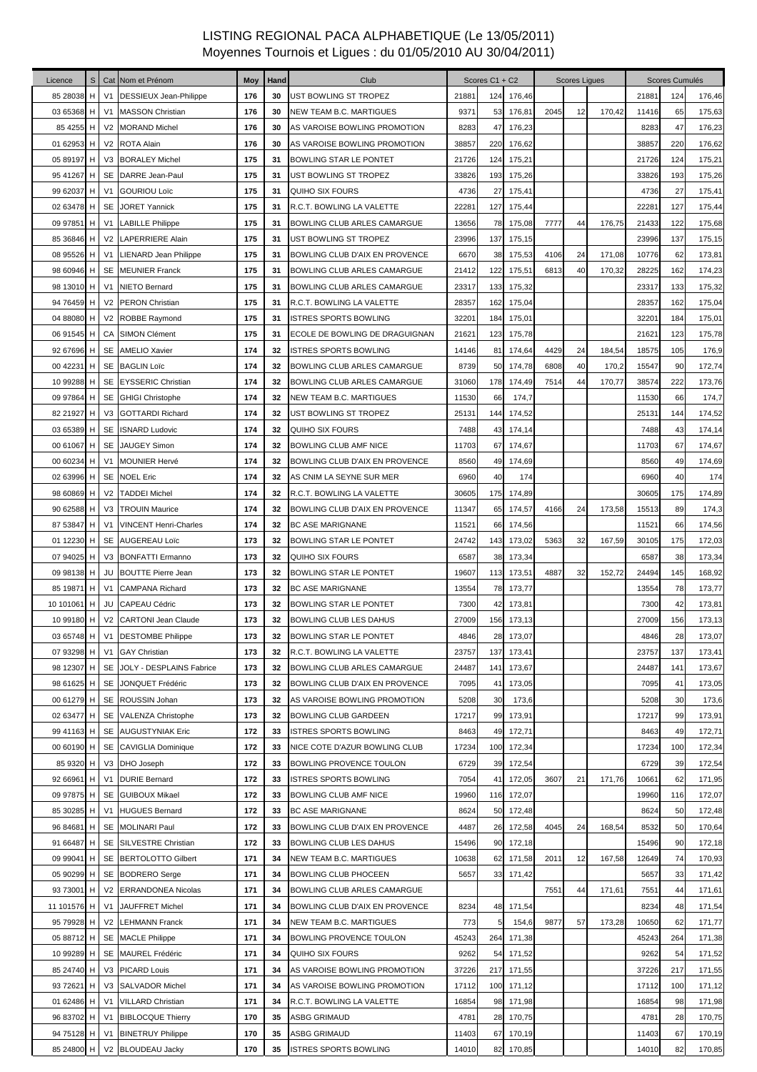| Licence     | S |                | Cat Nom et Prénom                 | Moy | Hand | Club                           |       | Scores C1 + C2 |        |      | <b>Scores Liques</b> |        |       | Scores Cumulés |        |
|-------------|---|----------------|-----------------------------------|-----|------|--------------------------------|-------|----------------|--------|------|----------------------|--------|-------|----------------|--------|
| 85 28038    | H | V <sub>1</sub> | DESSIEUX Jean-Philippe            | 176 | 30   | UST BOWLING ST TROPEZ          | 21881 | 124            | 176,46 |      |                      |        | 21881 | 124            | 176,46 |
| 03 65368 H  |   |                | V1 MASSON Christian               | 176 | 30   | <b>NEW TEAM B.C. MARTIGUES</b> | 9371  | 53             | 176,81 | 2045 | 12                   | 170,42 | 11416 | 65             | 175,63 |
| 85 4255 H   |   |                | V2 MORAND Michel                  | 176 | 30   | AS VAROISE BOWLING PROMOTION   | 8283  | 47             | 176,23 |      |                      |        | 8283  | 47             | 176,23 |
| 01 62953 H  |   |                | V2 ROTA Alain                     | 176 | 30   | AS VAROISE BOWLING PROMOTION   | 38857 | 220            | 176,62 |      |                      |        | 38857 | 220            | 176,62 |
| 05 89197 H  |   |                | V3 BORALEY Michel                 | 175 | 31   | BOWLING STAR LE PONTET         | 21726 | $124$          | 175,21 |      |                      |        | 21726 | 124            | 175,21 |
| 95 41267 H  |   | SE             | DARRE Jean-Paul                   | 175 | 31   | UST BOWLING ST TROPEZ          | 33826 | 193            | 175,26 |      |                      |        | 33826 | 193            | 175,26 |
| 99 62037 H  |   | V <sub>1</sub> | <b>GOURIOU Loïc</b>               | 175 | 31   | <b>QUIHO SIX FOURS</b>         | 4736  | 27             | 175,41 |      |                      |        | 4736  | 27             | 175,41 |
| 02 63478 H  |   | SE             | <b>JORET Yannick</b>              | 175 | 31   | R.C.T. BOWLING LA VALETTE      | 22281 | 127            | 175,44 |      |                      |        | 22281 | 127            | 175,44 |
| 09 97851 H  |   | V <sub>1</sub> | <b>LABILLE Philippe</b>           | 175 | 31   | BOWLING CLUB ARLES CAMARGUE    | 13656 | 78             | 175,08 | 7777 | 44                   | 176,75 | 21433 | 122            | 175,68 |
| 85 36846    | H | V <sub>2</sub> | <b>LAPERRIERE Alain</b>           | 175 | 31   | UST BOWLING ST TROPEZ          | 23996 | 137            | 175,15 |      |                      |        | 23996 | 137            | 175,15 |
| 08 95526 H  |   | V <sub>1</sub> | <b>LIENARD Jean Philippe</b>      | 175 | 31   | BOWLING CLUB D'AIX EN PROVENCE | 6670  | 38             | 175,53 | 4106 | 24                   | 171,08 | 10776 | 62             | 173,81 |
| 98 60946 H  |   | SE             | <b>MEUNIER Franck</b>             | 175 | 31   | BOWLING CLUB ARLES CAMARGUE    | 21412 | 122            | 175,51 | 6813 | 40                   | 170,32 | 28225 | 162            | 174,23 |
| 98 13010 H  |   | V <sub>1</sub> | <b>NIETO Bernard</b>              | 175 | 31   | BOWLING CLUB ARLES CAMARGUE    | 23317 | 133            | 175,32 |      |                      |        | 23317 | 133            | 175,32 |
| 94 76459 H  |   |                | V2 PERON Christian                | 175 | 31   | R.C.T. BOWLING LA VALETTE      | 28357 | 162            | 175,04 |      |                      |        | 28357 | 162            | 175,04 |
| 04 88080 H  |   |                | V2 ROBBE Raymond                  | 175 | 31   | <b>ISTRES SPORTS BOWLING</b>   | 32201 | 184            | 175,01 |      |                      |        | 32201 | 184            | 175,01 |
| 06 91545 H  |   |                | <b>CA SIMON Clément</b>           | 175 | 31   | ECOLE DE BOWLING DE DRAGUIGNAN | 21621 | 123            | 175,78 |      |                      |        | 21621 | 123            | 175,78 |
| 92 67696 H  |   |                | SE AMELIO Xavier                  | 174 | 32   | <b>ISTRES SPORTS BOWLING</b>   | 14146 | 81             | 174,64 | 4429 | 24                   | 184,54 | 18575 | 105            | 176,9  |
| 00 42231 H  |   |                | SE BAGLIN Loïc                    | 174 | 32   | BOWLING CLUB ARLES CAMARGUE    | 8739  | 50             | 174,78 | 6808 | 40                   | 170,2  | 15547 | 90             | 172,74 |
| 10 99288 H  |   | SE             | <b>EYSSERIC Christian</b>         | 174 | 32   | BOWLING CLUB ARLES CAMARGUE    | 31060 | 178            | 174,49 | 7514 | 44                   | 170,77 | 38574 | 222            | 173,76 |
| 09 97864 H  |   |                | SE GHIGI Christophe               | 174 | 32   | NEW TEAM B.C. MARTIGUES        | 11530 | 66             | 174,7  |      |                      |        | 11530 | 66             | 174,7  |
| 82 21927 H  |   |                | V3 GOTTARDI Richard               | 174 | 32   | UST BOWLING ST TROPEZ          | 25131 | 144            | 174,52 |      |                      |        | 25131 | 144            | 174,52 |
| 03 65389 H  |   | <b>SE</b>      | <b>ISNARD Ludovic</b>             | 174 | 32   | QUIHO SIX FOURS                | 7488  | 43             | 174,14 |      |                      |        | 7488  | 43             | 174,14 |
| 00 61067 H  |   | SE             | <b>JAUGEY Simon</b>               | 174 | 32   | <b>BOWLING CLUB AMF NICE</b>   | 11703 | 67             | 174,67 |      |                      |        | 11703 | 67             | 174,67 |
| 00 60234 H  |   | V <sub>1</sub> | <b>MOUNIER Hervé</b>              | 174 | 32   | BOWLING CLUB D'AIX EN PROVENCE | 8560  | 49             | 174,69 |      |                      |        | 8560  | 49             | 174,69 |
| 02 63996 H  |   | SE             | <b>NOEL Eric</b>                  | 174 | 32   | AS CNIM LA SEYNE SUR MER       | 6960  | 40             | 174    |      |                      |        | 6960  | 40             | 174    |
| 98 60869    | H | V <sub>2</sub> | <b>TADDEI Michel</b>              | 174 | 32   | R.C.T. BOWLING LA VALETTE      | 30605 | 175            | 174,89 |      |                      |        | 30605 | 175            | 174,89 |
| 90 62588 H  |   |                | V3 TROUIN Maurice                 | 174 | 32   | BOWLING CLUB D'AIX EN PROVENCE | 11347 | 65             | 174,57 | 4166 | 24                   | 173,58 | 15513 | 89             | 174,3  |
| 87 53847    | H | V1             | <b>VINCENT Henri-Charles</b>      | 174 | 32   | <b>BC ASE MARIGNANE</b>        | 11521 | 66             | 174,56 |      |                      |        | 11521 | 66             | 174,56 |
| 01 12230 H  |   |                | SE AUGEREAU Loïc                  | 173 | 32   | BOWLING STAR LE PONTET         | 24742 | 143            | 173,02 | 5363 | 32                   | 167,59 | 30105 | 175            | 172,03 |
| 07 94025 H  |   |                | V3 BONFATTI Ermanno               | 173 | 32   | QUIHO SIX FOURS                | 6587  | 38             | 173,34 |      |                      |        | 6587  | 38             | 173,34 |
| 09 98138 H  |   | JU             | <b>BOUTTE Pierre Jean</b>         | 173 | 32   | <b>BOWLING STAR LE PONTET</b>  | 19607 | 113            | 173,51 | 4887 | 32                   | 152,72 | 24494 | 145            | 168,92 |
| 85 19871    | H | V <sub>1</sub> | <b>CAMPANA Richard</b>            | 173 | 32   | <b>BC ASE MARIGNANE</b>        | 13554 | 78             | 173,77 |      |                      |        | 13554 | 78             | 173,77 |
| 10 101061 H |   | JU             | <b>CAPEAU Cédric</b>              | 173 | 32   | BOWLING STAR LE PONTET         | 7300  | 42             | 173,81 |      |                      |        | 7300  | 42             | 173,81 |
| 10 99180 H  |   |                | V2 CARTONI Jean Claude            | 173 | 32   | <b>BOWLING CLUB LES DAHUS</b>  | 27009 | 156            | 173,13 |      |                      |        | 27009 | 156            | 173,13 |
|             |   |                | 03 65748 H   V1 DESTOMBE Philippe | 173 | 32   | <b>BOWLING STAR LE PONTET</b>  | 4846  | 28             | 173,07 |      |                      |        | 4846  | 28             | 173,07 |
| 07 93298 H  |   | V1             | <b>GAY Christian</b>              | 173 | 32   | R.C.T. BOWLING LA VALETTE      | 23757 | 137            | 173,41 |      |                      |        | 23757 | 137            | 173,41 |
| 98 12307 H  |   | SE             | JOLY - DESPLAINS Fabrice          | 173 | 32   | BOWLING CLUB ARLES CAMARGUE    | 24487 | 141            | 173,67 |      |                      |        | 24487 | 141            | 173,67 |
| 98 61625 H  |   | SE             | JONQUET Frédéric                  | 173 | 32   | BOWLING CLUB D'AIX EN PROVENCE | 7095  | 41             | 173,05 |      |                      |        | 7095  | 41             | 173,05 |
| 00 61279 H  |   | SE             | ROUSSIN Johan                     | 173 | 32   | AS VAROISE BOWLING PROMOTION   | 5208  | 30             | 173,6  |      |                      |        | 5208  | 30             | 173,6  |
| 02 63477 H  |   |                | SE VALENZA Christophe             | 173 | 32   | <b>BOWLING CLUB GARDEEN</b>    | 17217 | 99             | 173,91 |      |                      |        | 17217 | 99             | 173,91 |
| 99 41163 H  |   |                | SE AUGUSTYNIAK Eric               | 172 | 33   | <b>ISTRES SPORTS BOWLING</b>   | 8463  | 49             | 172,71 |      |                      |        | 8463  | 49             | 172,71 |
| 00 60190 H  |   |                | SE CAVIGLIA Dominique             | 172 | 33   | NICE COTE D'AZUR BOWLING CLUB  | 17234 | 100            | 172,34 |      |                      |        | 17234 | 100            | 172,34 |
| 85 9320 H   |   |                | V3 DHO Joseph                     | 172 | 33   | BOWLING PROVENCE TOULON        | 6729  | 39             | 172,54 |      |                      |        | 6729  | 39             | 172,54 |
| 92 66961    | H | V <sub>1</sub> | <b>DURIE Bernard</b>              | 172 | 33   | <b>ISTRES SPORTS BOWLING</b>   | 7054  | 41             | 172,05 | 3607 | 21                   | 171,76 | 10661 | 62             | 171,95 |
| 09 97875 H  |   | SE             | <b>GUIBOUX Mikael</b>             | 172 | 33   | BOWLING CLUB AMF NICE          | 19960 | 116            | 172,07 |      |                      |        | 19960 | 116            | 172,07 |
| 85 30285 H  |   | V <sub>1</sub> | <b>HUGUES Bernard</b>             | 172 | 33   | <b>BC ASE MARIGNANE</b>        | 8624  | 50             | 172,48 |      |                      |        | 8624  | 50             | 172,48 |
| 96 84681    | H | <b>SE</b>      | <b>MOLINARI Paul</b>              | 172 | 33   | BOWLING CLUB D'AIX EN PROVENCE | 4487  | 26             | 172,58 | 4045 | 24                   | 168,54 | 8532  | 50             | 170,64 |
| 91 66487 H  |   |                | SE SILVESTRE Christian            | 172 | 33   | BOWLING CLUB LES DAHUS         | 15496 | 90             | 172,18 |      |                      |        | 15496 | 90             | 172,18 |
| 09 99041 H  |   | SE             | <b>BERTOLOTTO Gilbert</b>         | 171 | 34   | NEW TEAM B.C. MARTIGUES        | 10638 | 62             | 171,58 | 2011 | 12                   | 167,58 | 12649 | 74             | 170,93 |
| 05 90299 H  |   |                | SE BODRERO Serge                  | 171 | 34   | <b>BOWLING CLUB PHOCEEN</b>    | 5657  | 33             | 171,42 |      |                      |        | 5657  | 33             | 171,42 |
| 93 73001 H  |   |                | V2 ERRANDONEA Nicolas             | 171 | 34   | BOWLING CLUB ARLES CAMARGUE    |       |                |        | 7551 | 44                   | 171,61 | 7551  | 44             | 171,61 |
| 11 101576 H |   | V <sub>1</sub> | JAUFFRET Michel                   | 171 | 34   | BOWLING CLUB D'AIX EN PROVENCE | 8234  | 48             | 171,54 |      |                      |        | 8234  | 48             | 171,54 |
| 95 79928 H  |   |                | V2 LEHMANN Franck                 | 171 | 34   | <b>NEW TEAM B.C. MARTIGUES</b> | 773   | 5              | 154,6  | 9877 | 57                   | 173,28 | 10650 | 62             | 171,77 |
| 05 88712 H  |   |                | SE MACLE Philippe                 | 171 | 34   | BOWLING PROVENCE TOULON        | 45243 | 264            | 171,38 |      |                      |        | 45243 | 264            | 171,38 |
| 10 99289 H  |   |                | SE MAUREL Frédéric                | 171 | 34   | <b>QUIHO SIX FOURS</b>         | 9262  | 54             | 171,52 |      |                      |        | 9262  | 54             | 171,52 |
| 85 24740 H  |   | V3             | <b>PICARD Louis</b>               | 171 | 34   | AS VAROISE BOWLING PROMOTION   | 37226 | 217            | 171,55 |      |                      |        | 37226 | 217            | 171,55 |
| 93 72621 H  |   | V <sub>3</sub> | <b>SALVADOR Michel</b>            | 171 | 34   | AS VAROISE BOWLING PROMOTION   | 17112 | 100            | 171,12 |      |                      |        | 17112 | 100            | 171,12 |
| 01 62486 H  |   | V <sub>1</sub> | <b>VILLARD Christian</b>          | 171 | 34   | R.C.T. BOWLING LA VALETTE      | 16854 | 98             | 171,98 |      |                      |        | 16854 | 98             | 171,98 |
| 96 83702 H  |   | V <sub>1</sub> | <b>BIBLOCQUE Thierry</b>          | 170 | 35   | <b>ASBG GRIMAUD</b>            | 4781  | 28             | 170,75 |      |                      |        | 4781  | 28             | 170,75 |
| 94 75128 H  |   | V <sub>1</sub> | <b>BINETRUY Philippe</b>          | 170 | 35   | <b>ASBG GRIMAUD</b>            | 11403 | 67             | 170,19 |      |                      |        | 11403 | 67             | 170,19 |
| 85 24800 H  |   |                | V2 BLOUDEAU Jacky                 | 170 | 35   | <b>ISTRES SPORTS BOWLING</b>   | 14010 | 82             | 170,85 |      |                      |        | 14010 | 82             | 170,85 |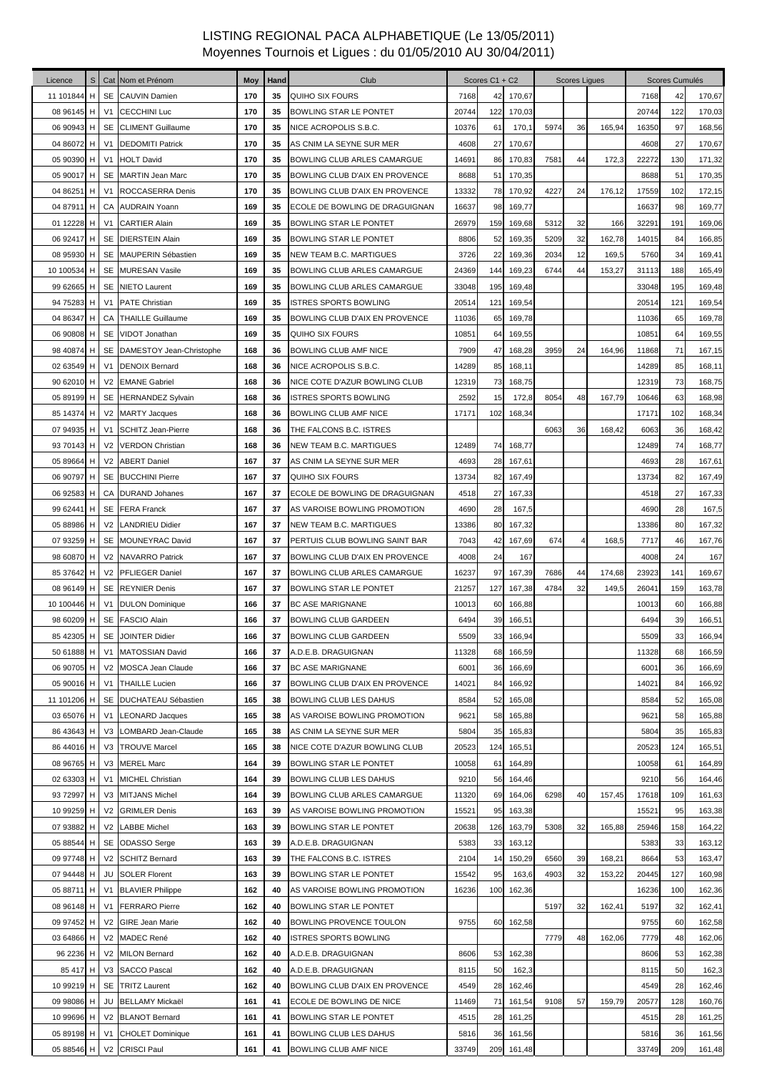| Licence     | S |                | Cat Nom et Prénom           | Moy | Hand | Club                           |       | Scores C1 + C2 |        |      | <b>Scores Liques</b> |        |       | Scores Cumulés |        |
|-------------|---|----------------|-----------------------------|-----|------|--------------------------------|-------|----------------|--------|------|----------------------|--------|-------|----------------|--------|
| 11 101844   | н |                | SE CAUVIN Damien            | 170 | 35   | QUIHO SIX FOURS                | 7168  | 42             | 170,67 |      |                      |        | 7168  | 42             | 170,67 |
| 08 96145 H  |   | V1             | <b>CECCHINI Luc</b>         | 170 | 35   | BOWLING STAR LE PONTET         | 20744 | 122            | 170,03 |      |                      |        | 20744 | 122            | 170,03 |
| 06 90943 H  |   |                | <b>SE</b> CLIMENT Guillaume | 170 | 35   | NICE ACROPOLIS S.B.C.          | 10376 | 61             | 170,1  | 5974 | 36                   | 165,94 | 16350 | 97             | 168,56 |
| 04 86072 H  |   | V <sub>1</sub> | <b>DEDOMITI Patrick</b>     | 170 | 35   | AS CNIM LA SEYNE SUR MER       | 4608  | 27             | 170,67 |      |                      |        | 4608  | 27             | 170,67 |
| 05 90390 H  |   | V1             | <b>HOLT David</b>           | 170 | 35   | BOWLING CLUB ARLES CAMARGUE    | 14691 | 86             | 170,83 | 7581 | 44                   | 172,3  | 22272 | 130            | 171,32 |
| 05 90017 H  |   |                | SE MARTIN Jean Marc         | 170 | 35   | BOWLING CLUB D'AIX EN PROVENCE | 8688  | 51             | 170,35 |      |                      |        | 8688  | 51             | 170,35 |
| 04 86251 H  |   | V <sub>1</sub> | ROCCASERRA Denis            | 170 | 35   | BOWLING CLUB D'AIX EN PROVENCE | 13332 | 78             | 170,92 | 4227 | 24                   | 176,12 | 17559 | 102            | 172,15 |
| 04 87911 H  |   |                | CA AUDRAIN Yoann            | 169 | 35   | ECOLE DE BOWLING DE DRAGUIGNAN | 16637 | 98             | 169,77 |      |                      |        | 16637 | 98             | 169,77 |
| 01 12228    | H | V <sub>1</sub> | <b>CARTIER Alain</b>        | 169 | 35   | BOWLING STAR LE PONTET         | 26979 | 159            | 169,68 | 5312 | 32                   | 166    | 32291 | 191            | 169,06 |
| 06 92417 H  |   |                | SE DIERSTEIN Alain          | 169 | 35   | BOWLING STAR LE PONTET         | 8806  | 52             | 169,35 | 5209 | 32                   | 162,78 | 14015 | 84             | 166,85 |
| 08 95930 H  |   |                | SE MAUPERIN Sébastien       | 169 | 35   | NEW TEAM B.C. MARTIGUES        | 3726  | 22             | 169,36 | 2034 | 12                   | 169,5  | 5760  | 34             | 169,41 |
| 10 100534 H |   | SE             | <b>MURESAN Vasile</b>       | 169 | 35   | BOWLING CLUB ARLES CAMARGUE    | 24369 | 144            | 169,23 | 6744 | 44                   | 153,27 | 31113 | 188            | 165,49 |
| 99 62665 H  |   |                | SE NIETO Laurent            | 169 | 35   | BOWLING CLUB ARLES CAMARGUE    | 33048 | 195            | 169,48 |      |                      |        | 33048 | 195            | 169,48 |
| 94 75283 H  |   | V1             | <b>PATE Christian</b>       | 169 | 35   | <b>ISTRES SPORTS BOWLING</b>   | 20514 | 121            | 169,54 |      |                      |        | 20514 | 121            | 169,54 |
| 04 86347 H  |   |                | <b>CA THAILLE Guillaume</b> | 169 | 35   | BOWLING CLUB D'AIX EN PROVENCE | 11036 | 65             | 169,78 |      |                      |        | 11036 | 65             | 169,78 |
| 06 90808 H  |   |                | SE VIDOT Jonathan           | 169 | 35   | <b>QUIHO SIX FOURS</b>         | 10851 | 64             | 169,55 |      |                      |        | 10851 | 64             | 169,55 |
| 98 40874 H  |   |                | SE DAMESTOY Jean-Christophe | 168 | 36   | BOWLING CLUB AMF NICE          | 7909  | 47             | 168,28 | 3959 | 24                   | 164,96 | 11868 | 71             | 167,15 |
| 02 63549 H  |   | V <sub>1</sub> | <b>DENOIX Bernard</b>       | 168 | 36   | NICE ACROPOLIS S.B.C.          | 14289 | 85             | 168,11 |      |                      |        | 14289 | 85             | 168,11 |
| 90 62010 H  |   |                | V2 EMANE Gabriel            | 168 | 36   | NICE COTE D'AZUR BOWLING CLUB  | 12319 | 73             | 168,75 |      |                      |        | 12319 | 73             | 168,75 |
| 05 89199 H  |   |                | SE HERNANDEZ Sylvain        | 168 | 36   | <b>ISTRES SPORTS BOWLING</b>   | 2592  | 15             | 172,8  | 8054 | 48                   | 167,79 | 10646 | 63             | 168,98 |
| 85 14374 H  |   | V <sub>2</sub> | <b>MARTY Jacques</b>        | 168 | 36   | BOWLING CLUB AMF NICE          | 17171 | 102            | 168,34 |      |                      |        | 17171 | 102            | 168,34 |
| 07 94935 H  |   | V <sub>1</sub> | <b>SCHITZ Jean-Pierre</b>   | 168 | 36   | THE FALCONS B.C. ISTRES        |       |                |        | 6063 | 36                   | 168,42 | 6063  | 36             | 168,42 |
| 93 70143 H  |   | V <sub>2</sub> | <b>VERDON Christian</b>     | 168 | 36   | NEW TEAM B.C. MARTIGUES        | 12489 | 74             | 168,77 |      |                      |        | 12489 | 74             | 168,77 |
| 05 89664 H  |   | V <sub>2</sub> | <b>ABERT Daniel</b>         | 167 | 37   | AS CNIM LA SEYNE SUR MER       | 4693  | 28             | 167,61 |      |                      |        | 4693  | 28             | 167,61 |
| 06 90797 H  |   |                | <b>SE BUCCHINI Pierre</b>   | 167 | 37   | <b>QUIHO SIX FOURS</b>         | 13734 | 82             | 167,49 |      |                      |        | 13734 | 82             | 167,49 |
| 06 92583 H  |   |                | CA DURAND Johanes           | 167 | 37   | ECOLE DE BOWLING DE DRAGUIGNAN | 4518  | 27             | 167,33 |      |                      |        | 4518  | 27             | 167,33 |
| 99 62441 H  |   |                | SE FERA Franck              | 167 | 37   | AS VAROISE BOWLING PROMOTION   | 4690  | 28             | 167,5  |      |                      |        | 4690  | 28             | 167,5  |
| 05 88986 H  |   |                | V2 LANDRIEU Didier          | 167 | 37   | NEW TEAM B.C. MARTIGUES        | 13386 | 80             | 167,32 |      |                      |        | 13386 | 80             | 167,32 |
| 07 93259 H  |   |                | SE MOUNEYRAC David          | 167 | 37   | PERTUIS CLUB BOWLING SAINT BAR | 7043  | 42             | 167,69 | 674  |                      | 168,5  | 7717  | 46             | 167,76 |
| 98 60870 H  |   |                | V2 NAVARRO Patrick          | 167 | 37   | BOWLING CLUB D'AIX EN PROVENCE | 4008  | 24             | 167    |      |                      |        | 4008  | 24             | 167    |
| 85 37642 H  |   |                | V2 PFLIEGER Daniel          | 167 | 37   | BOWLING CLUB ARLES CAMARGUE    | 16237 | 97             | 167,39 | 7686 | 44                   | 174,68 | 23923 | 141            | 169,67 |
| 08 96149 H  |   |                | SE REYNIER Denis            | 167 | 37   | BOWLING STAR LE PONTET         | 21257 | 127            | 167,38 | 4784 | 32                   | 149,5  | 26041 | 159            | 163,78 |
| 10 100446 H |   | V <sub>1</sub> | <b>DULON</b> Dominique      | 166 | 37   | <b>BC ASE MARIGNANE</b>        | 10013 | 60             | 166,88 |      |                      |        | 10013 | 60             | 166,88 |
| 98 60209 H  |   |                | SE FASCIO Alain             | 166 | 37   | <b>BOWLING CLUB GARDEEN</b>    | 6494  | 39             | 166,51 |      |                      |        | 6494  | 39             | 166,51 |
| 85 42305 H  |   |                | SE JOINTER Didier           | 166 | 37   | <b>BOWLING CLUB GARDEEN</b>    | 5509  | 33             | 166,94 |      |                      |        | 5509  | 33             | 166,94 |
| 50 61888 H  |   | V1             | MATOSSIAN David             | 166 | 37   | A.D.E.B. DRAGUIGNAN            | 11328 | 68             | 166,59 |      |                      |        | 11328 | 68             | 166,59 |
| 06 90705 H  |   | V <sub>2</sub> | <b>MOSCA Jean Claude</b>    | 166 | 37   | <b>BC ASE MARIGNANE</b>        | 6001  | 36             | 166,69 |      |                      |        | 6001  | 36             | 166,69 |
| 05 90016 H  |   |                | V1 THAILLE Lucien           | 166 | 37   | BOWLING CLUB D'AIX EN PROVENCE | 14021 | 84             | 166,92 |      |                      |        | 14021 | 84             | 166,92 |
| 11 101206 H |   | SE             | <b>DUCHATEAU Sébastien</b>  | 165 | 38   | BOWLING CLUB LES DAHUS         | 8584  | 52             | 165,08 |      |                      |        | 8584  | 52             | 165,08 |
| 03 65076 H  |   | V1             | <b>LEONARD Jacques</b>      | 165 | 38   | AS VAROISE BOWLING PROMOTION   | 9621  | 58             | 165,88 |      |                      |        | 9621  | 58             | 165,88 |
| 86 43643 H  |   |                | V3 LOMBARD Jean-Claude      | 165 | 38   | AS CNIM LA SEYNE SUR MER       | 5804  | 35             | 165,83 |      |                      |        | 5804  | 35             | 165,83 |
| 86 44016 H  |   | V3             | <b>TROUVE Marcel</b>        | 165 | 38   | NICE COTE D'AZUR BOWLING CLUB  | 20523 | 124            | 165,51 |      |                      |        | 20523 | 124            | 165,51 |
| 08 96765 H  |   | V <sub>3</sub> | <b>MEREL Marc</b>           | 164 | 39   | BOWLING STAR LE PONTET         | 10058 | 61             | 164,89 |      |                      |        | 10058 | 61             | 164,89 |
| 02 63303 H  |   | V <sub>1</sub> | <b>MICHEL Christian</b>     | 164 | 39   | BOWLING CLUB LES DAHUS         | 9210  | 56             | 164,46 |      |                      |        | 9210  | 56             | 164,46 |
| 93 72997 H  |   | V <sub>3</sub> | <b>MITJANS Michel</b>       | 164 | 39   | BOWLING CLUB ARLES CAMARGUE    | 11320 | 69             | 164,06 | 6298 | 40                   | 157,45 | 17618 | 109            | 161,63 |
| 10 99259 H  |   | V <sub>2</sub> | <b>GRIMLER Denis</b>        | 163 | 39   | AS VAROISE BOWLING PROMOTION   | 15521 | 95             | 163,38 |      |                      |        | 15521 | 95             | 163,38 |
| 07 93882 H  |   | V <sub>2</sub> | <b>LABBE Michel</b>         | 163 | 39   | BOWLING STAR LE PONTET         | 20638 | 126            | 163,79 | 5308 | 32                   | 165,88 | 25946 | 158            | 164,22 |
| 05 88544 H  |   | SE             | ODASSO Serge                | 163 | 39   | A.D.E.B. DRAGUIGNAN            | 5383  | 33             | 163,12 |      |                      |        | 5383  | 33             | 163,12 |
| 09 97748 H  |   |                | V2 SCHITZ Bernard           | 163 | 39   | THE FALCONS B.C. ISTRES        | 2104  | 14             | 150,29 | 6560 | 39                   | 168,21 | 8664  | 53             | 163,47 |
| 07 94448 H  |   | JU             | <b>SOLER Florent</b>        | 163 | 39   | BOWLING STAR LE PONTET         | 15542 | 95             | 163,6  | 4903 | 32                   | 153,22 | 20445 | 127            | 160,98 |
| 05 88711 H  |   | V1             | <b>BLAVIER Philippe</b>     | 162 | 40   | AS VAROISE BOWLING PROMOTION   | 16236 | 100            | 162,36 |      |                      |        | 16236 | 100            | 162,36 |
| 08 96148 H  |   | V1             | <b>FERRARO</b> Pierre       | 162 | 40   | BOWLING STAR LE PONTET         |       |                |        | 5197 | 32                   | 162,41 | 5197  | 32             | 162,41 |
| 09 97452 H  |   |                | V2 GIRE Jean Marie          | 162 | 40   | BOWLING PROVENCE TOULON        | 9755  | 60             | 162,58 |      |                      |        | 9755  | 60             | 162,58 |
| 03 64866 H  |   |                | V2 MADEC René               | 162 | 40   | ISTRES SPORTS BOWLING          |       |                |        | 7779 | 48                   | 162,06 | 7779  | 48             | 162,06 |
| 96 2236 H   |   |                | V2 MILON Bernard            | 162 | 40   | A.D.E.B. DRAGUIGNAN            | 8606  | 53             | 162,38 |      |                      |        | 8606  | 53             | 162,38 |
| 85 417 H    |   |                | V3 SACCO Pascal             | 162 | 40   | A.D.E.B. DRAGUIGNAN            | 8115  | 50             | 162,3  |      |                      |        | 8115  | 50             | 162,3  |
| 10 99219 H  |   |                | SE TRITZ Laurent            | 162 | 40   | BOWLING CLUB D'AIX EN PROVENCE | 4549  | 28             | 162,46 |      |                      |        | 4549  | 28             | 162,46 |
| 09 98086 H  |   | JU             | <b>BELLAMY Mickaël</b>      | 161 | 41   | ECOLE DE BOWLING DE NICE       | 11469 | 71             | 161,54 | 9108 | 57                   | 159,79 | 20577 | 128            | 160,76 |
| 10 99696 H  |   |                | V2 BLANOT Bernard           | 161 | 41   | BOWLING STAR LE PONTET         | 4515  | 28             | 161,25 |      |                      |        | 4515  | 28             | 161,25 |
| 05 89198 H  |   | V <sub>1</sub> | <b>CHOLET Dominique</b>     | 161 | 41   | BOWLING CLUB LES DAHUS         | 5816  | 36             | 161,56 |      |                      |        | 5816  | 36             | 161,56 |
| 05 88546 H  |   |                | V2 CRISCI Paul              | 161 | 41   | BOWLING CLUB AMF NICE          | 33749 | 209            | 161,48 |      |                      |        | 33749 | 209            | 161,48 |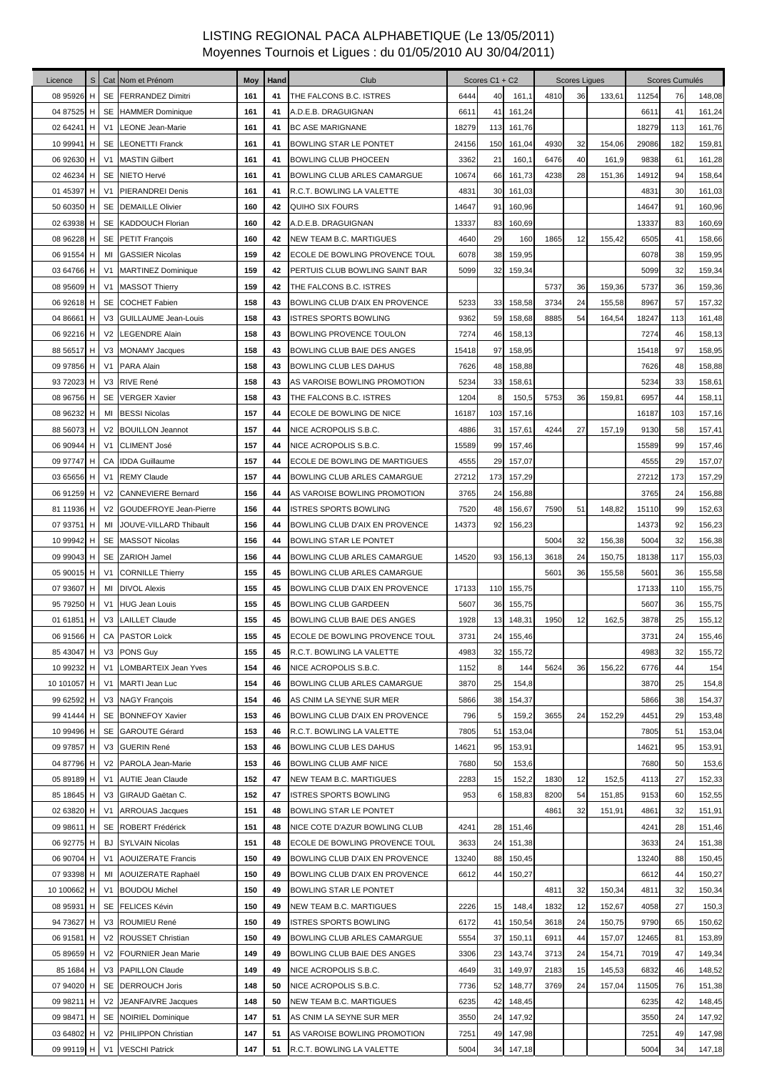| Licence     | S |                | Cat Nom et Prénom          | Moy | Hand | Club                           |       | Scores C1 + C2 |        |      | <b>Scores Ligues</b> |        |       | Scores Cumulés |        |
|-------------|---|----------------|----------------------------|-----|------|--------------------------------|-------|----------------|--------|------|----------------------|--------|-------|----------------|--------|
| 08 95926    | H |                | SE FERRANDEZ Dimitri       | 161 | 41   | THE FALCONS B.C. ISTRES        | 6444  | 40             | 161,1  | 4810 | 36                   | 133,61 | 11254 | 76             | 148,08 |
| 04 87525 H  |   |                | SE HAMMER Dominique        | 161 | 41   | A.D.E.B. DRAGUIGNAN            | 6611  | 41             | 161,24 |      |                      |        | 6611  | 41             | 161,24 |
| 02 64241    | н | V1             | LEONE Jean-Marie           | 161 | 41   | <b>BC ASE MARIGNANE</b>        | 18279 | 113            | 161,76 |      |                      |        | 18279 | 113            | 161,76 |
| 10 99941 H  |   |                | SE LEONETTI Franck         | 161 | 41   | BOWLING STAR LE PONTET         | 24156 | 150            | 161,04 | 4930 | 32                   | 154,06 | 29086 | 182            | 159,81 |
| 06 92630 H  |   | V <sub>1</sub> | <b>MASTIN Gilbert</b>      | 161 | 41   | <b>BOWLING CLUB PHOCEEN</b>    | 3362  | 21             | 160,1  | 6476 | 40                   | 161,9  | 9838  | 61             | 161,28 |
| 02 46234 H  |   | SE             | NIETO Hervé                | 161 | 41   | BOWLING CLUB ARLES CAMARGUE    | 10674 | 66             | 161,73 | 4238 | 28                   | 151,36 | 14912 | 94             | 158,64 |
| 01 45397 H  |   | V <sub>1</sub> | <b>PIERANDREI Denis</b>    | 161 | 41   | R.C.T. BOWLING LA VALETTE      | 4831  | 30             | 161,03 |      |                      |        | 4831  | 30             | 161,03 |
| 50 60350 H  |   |                | SE DEMAILLE Olivier        | 160 | 42   | QUIHO SIX FOURS                | 14647 | 91             | 160,96 |      |                      |        | 14647 | 91             | 160,96 |
| 02 63938 H  |   |                | SE KADDOUCH Florian        | 160 | 42   | A.D.E.B. DRAGUIGNAN            | 13337 | 83             | 160,69 |      |                      |        | 13337 | 83             | 160,69 |
| 08 96228 H  |   |                | SE PETIT François          | 160 | 42   | <b>NEW TEAM B.C. MARTIGUES</b> | 4640  | 29             | 160    | 1865 | 12                   | 155,42 | 6505  | 41             | 158,66 |
| 06 91554 H  |   | MI             | <b>GASSIER Nicolas</b>     | 159 | 42   | ECOLE DE BOWLING PROVENCE TOUL | 6078  | 38             | 159,95 |      |                      |        | 6078  | 38             | 159,95 |
| 03 64766 H  |   | V1             | <b>MARTINEZ Dominique</b>  | 159 | 42   | PERTUIS CLUB BOWLING SAINT BAR | 5099  | 32             | 159,34 |      |                      |        | 5099  | 32             | 159,34 |
| 08 95609 H  |   | V1             | <b>MASSOT Thierry</b>      | 159 | 42   | THE FALCONS B.C. ISTRES        |       |                |        | 5737 | 36                   | 159,36 | 5737  | 36             | 159,36 |
| 06 92618 H  |   |                | SE COCHET Fabien           | 158 | 43   | BOWLING CLUB D'AIX EN PROVENCE | 5233  | 33             | 158,58 | 3734 | 24                   | 155,58 | 8967  | 57             | 157,32 |
| 04 86661 H  |   |                | V3 GUILLAUME Jean-Louis    | 158 | 43   | <b>ISTRES SPORTS BOWLING</b>   | 9362  | 59             | 158,68 | 8885 | 54                   | 164,54 | 18247 | 113            | 161,48 |
| 06 92216 H  |   |                | V2 LEGENDRE Alain          | 158 | 43   | BOWLING PROVENCE TOULON        | 7274  | 46             | 158,13 |      |                      |        | 7274  | 46             | 158,13 |
| 88 56517 H  |   |                | V3 MONAMY Jacques          | 158 | 43   | BOWLING CLUB BAIE DES ANGES    | 15418 | 97             | 158,95 |      |                      |        | 15418 | 97             | 158,95 |
| 09 97856 H  |   | V1             | PARA Alain                 | 158 | 43   | BOWLING CLUB LES DAHUS         | 7626  | 48             | 158,88 |      |                      |        | 7626  | 48             | 158,88 |
| 93 72023 H  |   | V3             | <b>RIVE René</b>           | 158 | 43   | AS VAROISE BOWLING PROMOTION   | 5234  | 33             | 158,61 |      |                      |        | 5234  | 33             | 158,61 |
| 08 96756 H  |   |                | SE VERGER Xavier           | 158 | 43   | THE FALCONS B.C. ISTRES        | 1204  | 8              | 150,5  | 5753 | 36                   | 159,81 | 6957  | 44             | 158,11 |
| 08 96232 H  |   | MI             | <b>BESSI Nicolas</b>       | 157 | 44   | ECOLE DE BOWLING DE NICE       | 16187 | 103            | 157,16 |      |                      |        | 16187 | 103            | 157,16 |
| 88 56073 H  |   | V <sub>2</sub> | <b>BOUILLON Jeannot</b>    | 157 | 44   | NICE ACROPOLIS S.B.C.          | 4886  | 31             | 157,61 | 4244 | 27                   | 157,19 | 9130  | 58             | 157,41 |
| 06 90944 H  |   | V <sub>1</sub> | <b>CLIMENT José</b>        | 157 | 44   | NICE ACROPOLIS S.B.C.          | 15589 | 99             | 157,46 |      |                      |        | 15589 | 99             | 157,46 |
| 09 97747 H  |   | CA             | <b>IDDA Guillaume</b>      | 157 | 44   | ECOLE DE BOWLING DE MARTIGUES  | 4555  | 29             | 157,07 |      |                      |        | 4555  | 29             | 157,07 |
| 03 65656 H  |   | V <sub>1</sub> | <b>REMY Claude</b>         | 157 | 44   | BOWLING CLUB ARLES CAMARGUE    | 27212 | 173            | 157,29 |      |                      |        | 27212 | 173            | 157,29 |
| 06 91259 H  |   | V <sub>2</sub> | <b>CANNEVIERE Bernard</b>  | 156 | 44   | AS VAROISE BOWLING PROMOTION   | 3765  | 24             | 156,88 |      |                      |        | 3765  | 24             | 156,88 |
| 81 11936 H  |   |                | V2 GOUDEFROYE Jean-Pierre  | 156 | 44   | <b>ISTRES SPORTS BOWLING</b>   | 7520  | 48             | 156,67 | 7590 | 51                   | 148,82 | 15110 | 99             | 152,63 |
| 07 93751 H  |   | MI             | JOUVE-VILLARD Thibault     | 156 | 44   | BOWLING CLUB D'AIX EN PROVENCE | 14373 | 92             | 156,23 |      |                      |        | 14373 | 92             | 156,23 |
| 10 99942 H  |   |                | SE MASSOT Nicolas          | 156 | 44   | BOWLING STAR LE PONTET         |       |                |        | 5004 | 32                   | 156,38 | 5004  | 32             | 156,38 |
| 09 99043 H  |   | SE             | <b>ZARIOH Jamel</b>        | 156 | 44   | BOWLING CLUB ARLES CAMARGUE    | 14520 | 93             | 156,13 | 3618 | 24                   | 150,75 | 18138 | 117            | 155,03 |
| 05 90015 H  |   | V1             | <b>CORNILLE Thierry</b>    | 155 | 45   | BOWLING CLUB ARLES CAMARGUE    |       |                |        | 5601 | 36                   | 155,58 | 5601  | 36             | 155,58 |
| 07 93607 H  |   | MI             | <b>DIVOL Alexis</b>        | 155 | 45   | BOWLING CLUB D'AIX EN PROVENCE | 17133 | 110            | 155,75 |      |                      |        | 17133 | 110            | 155,75 |
| 95 79250 H  |   |                | V1 HUG Jean Louis          | 155 | 45   | <b>BOWLING CLUB GARDEEN</b>    | 5607  | 36             | 155,75 |      |                      |        | 5607  | 36             | 155,75 |
| 01 61851 H  |   |                | V3 LAILLET Claude          | 155 | 45   | BOWLING CLUB BAIE DES ANGES    | 1928  | 13             | 148,31 | 1950 | 12                   | 162,5  | 3878  | 25             | 155,12 |
|             |   |                | 06 91566 H CA PASTOR Loïck | 155 | 45   | ECOLE DE BOWLING PROVENCE TOUL | 3731  | 24             | 155,46 |      |                      |        | 3731  | 24             | 155,46 |
| 85 43047 H  |   |                | V3 PONS Guy                | 155 | 45   | R.C.T. BOWLING LA VALETTE      | 4983  | 32             | 155,72 |      |                      |        | 4983  | 32             | 155,72 |
| 10 99232    | H | V <sub>1</sub> | LOMBARTEIX Jean Yves       | 154 | 46   | NICE ACROPOLIS S.B.C.          | 1152  | 8              | 144    | 5624 | 36                   | 156,22 | 6776  | 44             | 154    |
| 10 101057 H |   | V <sub>1</sub> | MARTI Jean Luc             | 154 | 46   | BOWLING CLUB ARLES CAMARGUE    | 3870  | 25             | 154,8  |      |                      |        | 3870  | 25             | 154,8  |
| 99 62592 H  |   |                | V3 NAGY François           | 154 | 46   | AS CNIM LA SEYNE SUR MER       | 5866  | 38             | 154,37 |      |                      |        | 5866  | 38             | 154,37 |
| 99 41444 H  |   | SE             | <b>BONNEFOY Xavier</b>     | 153 | 46   | BOWLING CLUB D'AIX EN PROVENCE | 796   | 5              | 159,2  | 3655 | 24                   | 152,29 | 4451  | 29             | 153,48 |
| 10 99496 H  |   |                | SE GAROUTE Gérard          | 153 | 46   | R.C.T. BOWLING LA VALETTE      | 7805  | 51             | 153,04 |      |                      |        | 7805  | 51             | 153,04 |
| 09 97857 H  |   |                | V3 GUERIN René             | 153 | 46   | <b>BOWLING CLUB LES DAHUS</b>  | 14621 | 95             | 153,91 |      |                      |        | 14621 | 95             | 153,91 |
| 04 87796 H  |   | V2             | PAROLA Jean-Marie          | 153 | 46   | BOWLING CLUB AMF NICE          | 7680  | 50             | 153,6  |      |                      |        | 7680  | 50             | 153,6  |
| 05 89189 H  |   | V <sub>1</sub> | <b>AUTIE Jean Claude</b>   | 152 | 47   | NEW TEAM B.C. MARTIGUES        | 2283  | 15             | 152,2  | 1830 | 12                   | 152,5  | 4113  | 27             | 152,33 |
| 85 18645 H  |   | V <sub>3</sub> | GIRAUD Gaëtan C.           | 152 | 47   | ISTRES SPORTS BOWLING          | 953   | 6              | 158,83 | 8200 | 54                   | 151,85 | 9153  | 60             | 152,55 |
| 02 63820 H  |   | V <sub>1</sub> | <b>ARROUAS Jacques</b>     | 151 | 48   | BOWLING STAR LE PONTET         |       |                |        | 4861 | 32                   | 151,91 | 4861  | 32             | 151,91 |
| 09 98611 H  |   | <b>SE</b>      | ROBERT Frédérick           | 151 | 48   | NICE COTE D'AZUR BOWLING CLUB  | 4241  | 28             | 151,46 |      |                      |        | 4241  | 28             | 151,46 |
| 06 92775 H  |   | BJ             | <b>SYLVAIN Nicolas</b>     | 151 | 48   | ECOLE DE BOWLING PROVENCE TOUL | 3633  | 24             | 151,38 |      |                      |        | 3633  | 24             | 151,38 |
| 06 90704 H  |   | V1             | <b>AOUIZERATE Francis</b>  | 150 | 49   | BOWLING CLUB D'AIX EN PROVENCE | 13240 | 88             | 150,45 |      |                      |        | 13240 | 88             | 150,45 |
| 07 93398 H  |   | MI             | AOUIZERATE Raphaël         | 150 | 49   | BOWLING CLUB D'AIX EN PROVENCE | 6612  | 44             | 150,27 |      |                      |        | 6612  | 44             | 150,27 |
| 10 100662 H |   | V <sub>1</sub> | <b>BOUDOU Michel</b>       | 150 | 49   | BOWLING STAR LE PONTET         |       |                |        | 4811 | 32                   | 150,34 | 4811  | 32             | 150,34 |
| 08 95931 H  |   |                | SE FELICES Kévin           | 150 | 49   | NEW TEAM B.C. MARTIGUES        | 2226  | 15             | 148,4  | 1832 | 12                   | 152,67 | 4058  | 27             | 150,3  |
| 94 73627 H  |   |                | V3 ROUMIEU René            | 150 | 49   | <b>ISTRES SPORTS BOWLING</b>   | 6172  | 41             | 150,54 | 3618 | 24                   | 150,75 | 9790  | 65             | 150,62 |
| 06 91581 H  |   |                | V2 ROUSSET Christian       | 150 | 49   | BOWLING CLUB ARLES CAMARGUE    | 5554  | 37             | 150,11 | 6911 | 44                   | 157,07 | 12465 | 81             | 153,89 |
| 05 89659 H  |   | V2             | <b>FOURNIER Jean Marie</b> | 149 | 49   | BOWLING CLUB BAIE DES ANGES    | 3306  | 23             | 143,74 | 3713 | 24                   | 154,71 | 7019  | 47             | 149,34 |
| 85 1684 H   |   | V3             | <b>PAPILLON Claude</b>     | 149 | 49   | NICE ACROPOLIS S.B.C.          | 4649  | 31             | 149,97 | 2183 | 15                   | 145,53 | 6832  | 46             | 148,52 |
| 07 94020 H  |   |                | SE DERROUCH Joris          | 148 | 50   | NICE ACROPOLIS S.B.C.          | 7736  | 52             | 148,77 | 3769 | 24                   | 157,04 | 11505 | 76             | 151,38 |
| 09 98211 H  |   | V <sub>2</sub> | JEANFAIVRE Jacques         | 148 | 50   | NEW TEAM B.C. MARTIGUES        | 6235  | 42             | 148,45 |      |                      |        | 6235  | 42             | 148,45 |
| 09 98471 H  |   | <b>SE</b>      | <b>NOIRIEL Dominique</b>   | 147 | 51   | AS CNIM LA SEYNE SUR MER       | 3550  | 24             | 147,92 |      |                      |        | 3550  | 24             | 147,92 |
| 03 64802 H  |   | V <sub>2</sub> | PHILIPPON Christian        | 147 | 51   | AS VAROISE BOWLING PROMOTION   | 7251  | 49             | 147,98 |      |                      |        | 7251  | 49             | 147,98 |
| 09 99119 H  |   | V <sub>1</sub> | <b>VESCHI Patrick</b>      | 147 | 51   | R.C.T. BOWLING LA VALETTE      | 5004  | 34             | 147,18 |      |                      |        | 5004  | 34             | 147,18 |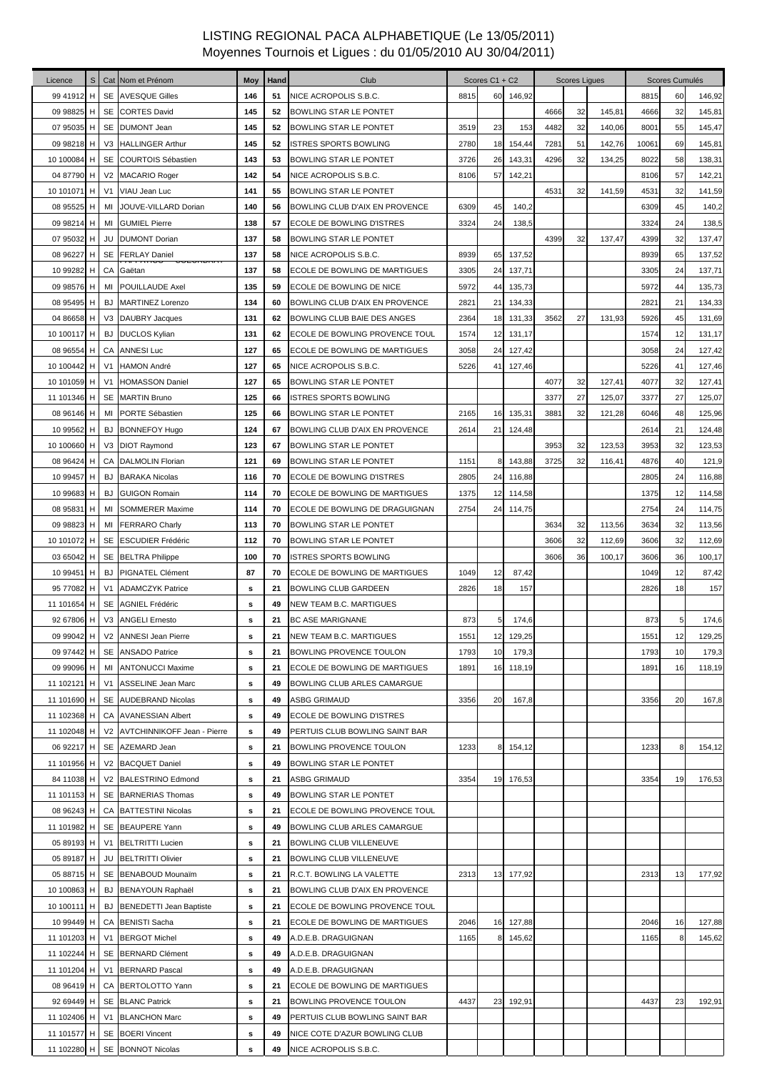| Licence     | $\mathbb S$    |                | Cat Nom et Prénom                 | Moy | Hand | Club                             |      | Scores C1 + C2 |        |      | Scores Ligues |        |       | Scores Cumulés |        |
|-------------|----------------|----------------|-----------------------------------|-----|------|----------------------------------|------|----------------|--------|------|---------------|--------|-------|----------------|--------|
| 99 41912 H  |                |                | SE AVESQUE Gilles                 | 146 | 51   | NICE ACROPOLIS S.B.C.            | 8815 | 60             | 146,92 |      |               |        | 8815  | 60             | 146,92 |
| 09 98825    | H              |                | SE CORTES David                   | 145 | 52   | <b>BOWLING STAR LE PONTET</b>    |      |                |        | 4666 | 32            | 145,81 | 4666  | 32             | 145,81 |
| 07 95035 H  |                |                | SE DUMONT Jean                    | 145 | 52   | BOWLING STAR LE PONTET           | 3519 | 23             | 153    | 4482 | 32            | 140,06 | 8001  | 55             | 145,47 |
| 09 98218 H  |                |                | V3 HALLINGER Arthur               | 145 | 52   | ISTRES SPORTS BOWLING            | 2780 | 18             | 154,44 | 7281 | 51            | 142,76 | 10061 | 69             | 145,81 |
| 10 100084 H |                |                | SE COURTOIS Sébastien             | 143 | 53   | BOWLING STAR LE PONTET           | 3726 | 26             | 143,31 | 4296 | 32            | 134,25 | 8022  | 58             | 138,31 |
| 04 87790    | H              |                | V2 MACARIO Roger                  | 142 | 54   | NICE ACROPOLIS S.B.C.            | 8106 | 57             | 142,21 |      |               |        | 8106  | 57             | 142,21 |
| 10 101071   | H              | V <sub>1</sub> | VIAU Jean Luc                     | 141 | 55   | BOWLING STAR LE PONTET           |      |                |        | 4531 | 32            | 141,59 | 4531  | 32             | 141,59 |
| 08 95525    | H              | MI             | JOUVE-VILLARD Dorian              | 140 | 56   | BOWLING CLUB D'AIX EN PROVENCE   | 6309 | 45             | 140,2  |      |               |        | 6309  | 45             | 140,2  |
| 09 98214    | H              | MI             | <b>GUMIEL Pierre</b>              | 138 | 57   | <b>ECOLE DE BOWLING D'ISTRES</b> | 3324 | 24             | 138,5  |      |               |        | 3324  | 24             | 138,5  |
| 07 95032    | H              | JU             | <b>DUMONT Dorian</b>              | 137 | 58   | BOWLING STAR LE PONTET           |      |                |        | 4399 | 32            | 137,47 | 4399  | 32             | 137,47 |
| 08 96227    | H              | SE             | <b>FERLAY Daniel</b>              | 137 | 58   | NICE ACROPOLIS S.B.C.            | 8939 | 65             | 137,52 |      |               |        | 8939  | 65             | 137,52 |
| 10 99282    | H              | CA             | ו האושאט ביי סטורא ז<br>Gaëtan    | 137 | 58   | ECOLE DE BOWLING DE MARTIGUES    | 3305 | 24             | 137,71 |      |               |        | 3305  | 24             | 137,71 |
| 09 98576    | H              | MI             | POUILLAUDE Axel                   | 135 | 59   | ECOLE DE BOWLING DE NICE         | 5972 | 44             | 135,73 |      |               |        | 5972  | 44             | 135,73 |
| 08 95495    | H              | <b>BJ</b>      | <b>MARTINEZ Lorenzo</b>           | 134 | 60   | BOWLING CLUB D'AIX EN PROVENCE   | 2821 | 21             | 134,33 |      |               |        | 2821  | 21             | 134,33 |
| 04 86658 H  |                |                | V3 DAUBRY Jacques                 | 131 | 62   | BOWLING CLUB BAIE DES ANGES      | 2364 | 18             | 131,33 | 3562 | 27            | 131,93 | 5926  | 45             | 131,69 |
| 10 100117 H |                |                | <b>BJ</b> DUCLOS Kylian           | 131 | 62   | ECOLE DE BOWLING PROVENCE TOUL   | 1574 | 12             | 131,17 |      |               |        | 1574  | 12             | 131,17 |
| 08 96554 H  |                |                | CA ANNESI Luc                     | 127 | 65   | ECOLE DE BOWLING DE MARTIGUES    | 3058 | 24             | 127,42 |      |               |        | 3058  | 24             | 127,42 |
| 10 100442 H |                | V <sub>1</sub> | <b>HAMON André</b>                | 127 | 65   | NICE ACROPOLIS S.B.C.            | 5226 | 41             | 127,46 |      |               |        | 5226  | 41             | 127,46 |
| 10 101059 H |                | V <sub>1</sub> | <b>HOMASSON Daniel</b>            | 127 | 65   | BOWLING STAR LE PONTET           |      |                |        | 4077 | 32            | 127,41 | 4077  | 32             | 127,41 |
| 11 101346 H |                | SE             | <b>MARTIN Bruno</b>               | 125 | 66   | ISTRES SPORTS BOWLING            |      |                |        | 3377 | 27            | 125,07 | 3377  | 27             | 125,07 |
| 08 96146    | H              | MI             | PORTE Sébastien                   | 125 | 66   | BOWLING STAR LE PONTET           | 2165 | 16             | 135,31 | 3881 | 32            | 121,28 | 6046  | 48             | 125,96 |
| 10 99562    | H              | <b>BJ</b>      | <b>BONNEFOY Hugo</b>              | 124 | 67   | BOWLING CLUB D'AIX EN PROVENCE   | 2614 | 21             | 124,48 |      |               |        | 2614  | 21             | 124,48 |
| 10 100660 H |                |                | V3 DIOT Raymond                   | 123 | 67   | BOWLING STAR LE PONTET           |      |                |        | 3953 | 32            | 123,53 | 3953  | 32             | 123,53 |
| 08 96424 H  |                |                | CA DALMOLIN Florian               | 121 | 69   | BOWLING STAR LE PONTET           | 1151 | 8              | 143,88 | 3725 | 32            | 116,41 | 4876  | 40             | 121,9  |
| 10 99457 H  |                | <b>BJ</b>      | <b>BARAKA Nicolas</b>             | 116 | 70   | ECOLE DE BOWLING D'ISTRES        | 2805 | 24             | 116,88 |      |               |        | 2805  | 24             | 116,88 |
| 10 99683    | H <sub>1</sub> | BJ             | <b>GUIGON Romain</b>              | 114 | 70   | ECOLE DE BOWLING DE MARTIGUES    | 1375 | 12             | 114,58 |      |               |        | 1375  | 12             | 114,58 |
| 08 95831 H  |                | MI             | <b>SOMMERER Maxime</b>            | 114 | 70   | ECOLE DE BOWLING DE DRAGUIGNAN   | 2754 | 24             | 114,75 |      |               |        | 2754  | 24             | 114,75 |
| 09 98823 H  |                | MI             | <b>FERRARO Charly</b>             | 113 | 70   | BOWLING STAR LE PONTET           |      |                |        | 3634 | 32            | 113,56 | 3634  | 32             | 113,56 |
| 10 101072   | H              | SE             | <b>ESCUDIER Frédéric</b>          | 112 | 70   | BOWLING STAR LE PONTET           |      |                |        | 3606 | 32            | 112,69 | 3606  | 32             | 112,69 |
| 03 65042 H  |                |                | SE BELTRA Philippe                | 100 | 70   | <b>ISTRES SPORTS BOWLING</b>     |      |                |        | 3606 | 36            | 100,17 | 3606  | 36             | 100,17 |
| 10 99451 H  |                | <b>BJ</b>      | PIGNATEL Clément                  | 87  | 70   | ECOLE DE BOWLING DE MARTIGUES    | 1049 | 12             | 87,42  |      |               |        | 1049  | 12             | 87,42  |
| 95 77082 H  |                | V <sub>1</sub> | <b>ADAMCZYK Patrice</b>           | s   | 21   | <b>BOWLING CLUB GARDEEN</b>      | 2826 | 18             | 157    |      |               |        | 2826  | 18             | 157    |
| 11 101654   | H              | SE             | <b>AGNIEL Frédéric</b>            | s   | 49   | NEW TEAM B.C. MARTIGUES          |      |                |        |      |               |        |       |                |        |
| 92 67806 H  |                |                | V3 ANGELI Ernesto                 | s   | 21   | <b>BC ASE MARIGNANE</b>          | 873  | 5              | 174,6  |      |               |        | 873   | 5              | 174,6  |
| 09 99042 H  |                |                | V2 ANNESI Jean Pierre             | s   | 21   | <b>NEW TEAM B.C. MARTIGUES</b>   | 1551 | 12             | 129,25 |      |               |        | 1551  | 12             | 129,25 |
| 09 97442 H  |                |                | SE ANSADO Patrice                 | s   | 21   | BOWLING PROVENCE TOULON          | 1793 | 10             | 179,3  |      |               |        | 1793  | 10             | 179,3  |
| 09 99096    | H              | MI             | <b>ANTONUCCI Maxime</b>           | s   | 21   | ECOLE DE BOWLING DE MARTIGUES    | 1891 | 16             | 118,19 |      |               |        | 1891  | 16             | 118,19 |
| 11 102121 H |                |                | V1 ASSELINE Jean Marc             | s   | 49   | BOWLING CLUB ARLES CAMARGUE      |      |                |        |      |               |        |       |                |        |
| 11 101690 H |                |                | SE AUDEBRAND Nicolas              | s   | 49   | <b>ASBG GRIMAUD</b>              | 3356 | 20             | 167,8  |      |               |        | 3356  | 20             | 167,8  |
| 11 102368 H |                |                | CA AVANESSIAN Albert              | s   | 49   | ECOLE DE BOWLING D'ISTRES        |      |                |        |      |               |        |       |                |        |
| 11 102048 H |                |                | V2 AVTCHINNIKOFF Jean - Pierre    | s   | 49   | PERTUIS CLUB BOWLING SAINT BAR   |      |                |        |      |               |        |       |                |        |
| 06 92217 H  |                |                | SE AZEMARD Jean                   | s   | 21   | BOWLING PROVENCE TOULON          | 1233 |                | 154,12 |      |               |        | 1233  |                | 154,12 |
| 11 101956 H |                |                | V2 BACQUET Daniel                 | s   | 49   | BOWLING STAR LE PONTET           |      |                |        |      |               |        |       |                |        |
| 84 11038 H  |                |                | V2 BALESTRINO Edmond              | s   | 21   | ASBG GRIMAUD                     | 3354 | 19             | 176,53 |      |               |        | 3354  | 19             | 176,53 |
|             |                |                | 11 101153 H   SE BARNERIAS Thomas | s   | 49   | BOWLING STAR LE PONTET           |      |                |        |      |               |        |       |                |        |
| 08 96243 H  |                |                | CA BATTESTINI Nicolas             | s   | 21   | ECOLE DE BOWLING PROVENCE TOUL   |      |                |        |      |               |        |       |                |        |
| 11 101982 H |                |                | SE BEAUPERE Yann                  | s   | 49   | BOWLING CLUB ARLES CAMARGUE      |      |                |        |      |               |        |       |                |        |
| 05 89193 H  |                | V <sub>1</sub> | BELTRITTI Lucien                  | s   | 21   | BOWLING CLUB VILLENEUVE          |      |                |        |      |               |        |       |                |        |
| 05 89187 H  |                | JU             | <b>BELTRITTI Olivier</b>          | s   | 21   | BOWLING CLUB VILLENEUVE          |      |                |        |      |               |        |       |                |        |
| 05 88715 H  |                |                | SE BENABOUD Mounaim               | s   | 21   | R.C.T. BOWLING LA VALETTE        | 2313 | 13             | 177,92 |      |               |        | 2313  | 13             | 177,92 |
| 10 100863 H |                |                | <b>BJ</b> BENAYOUN Raphaël        | s   | 21   | BOWLING CLUB D'AIX EN PROVENCE   |      |                |        |      |               |        |       |                |        |
| 10 100111 H |                |                | <b>BJ</b> BENEDETTI Jean Baptiste | s   | 21   | ECOLE DE BOWLING PROVENCE TOUL   |      |                |        |      |               |        |       |                |        |
| 10 99449 H  |                |                | CA BENISTI Sacha                  | s   | 21   | ECOLE DE BOWLING DE MARTIGUES    | 2046 | 16             | 127,88 |      |               |        | 2046  | 16             | 127,88 |
| 11 101203 H |                |                | V1 BERGOT Michel                  | s   | 49   | A.D.E.B. DRAGUIGNAN              | 1165 | 8              | 145,62 |      |               |        | 1165  |                | 145,62 |
| 11 102244 H |                |                | SE BERNARD Clément                | s   | 49   | A.D.E.B. DRAGUIGNAN              |      |                |        |      |               |        |       |                |        |
|             |                |                | 11 101204 H   V1   BERNARD Pascal | s   | 49   | A.D.E.B. DRAGUIGNAN              |      |                |        |      |               |        |       |                |        |
| 08 96419 H  |                |                | CA BERTOLOTTO Yann                | s   | 21   | ECOLE DE BOWLING DE MARTIGUES    |      |                |        |      |               |        |       |                |        |
| 92 69449 H  |                |                | SE BLANC Patrick                  | s   | 21   | BOWLING PROVENCE TOULON          | 4437 | 23             | 192,91 |      |               |        | 4437  | 23             | 192,91 |
| 11 102406 H |                |                | V1 BLANCHON Marc                  | s   | 49   | PERTUIS CLUB BOWLING SAINT BAR   |      |                |        |      |               |        |       |                |        |
| 11 101577 H |                |                | SE BOERI Vincent                  | s   | 49   | NICE COTE D'AZUR BOWLING CLUB    |      |                |        |      |               |        |       |                |        |
| 11 102280   | H              |                | SE BONNOT Nicolas                 | s   | 49   | NICE ACROPOLIS S.B.C.            |      |                |        |      |               |        |       |                |        |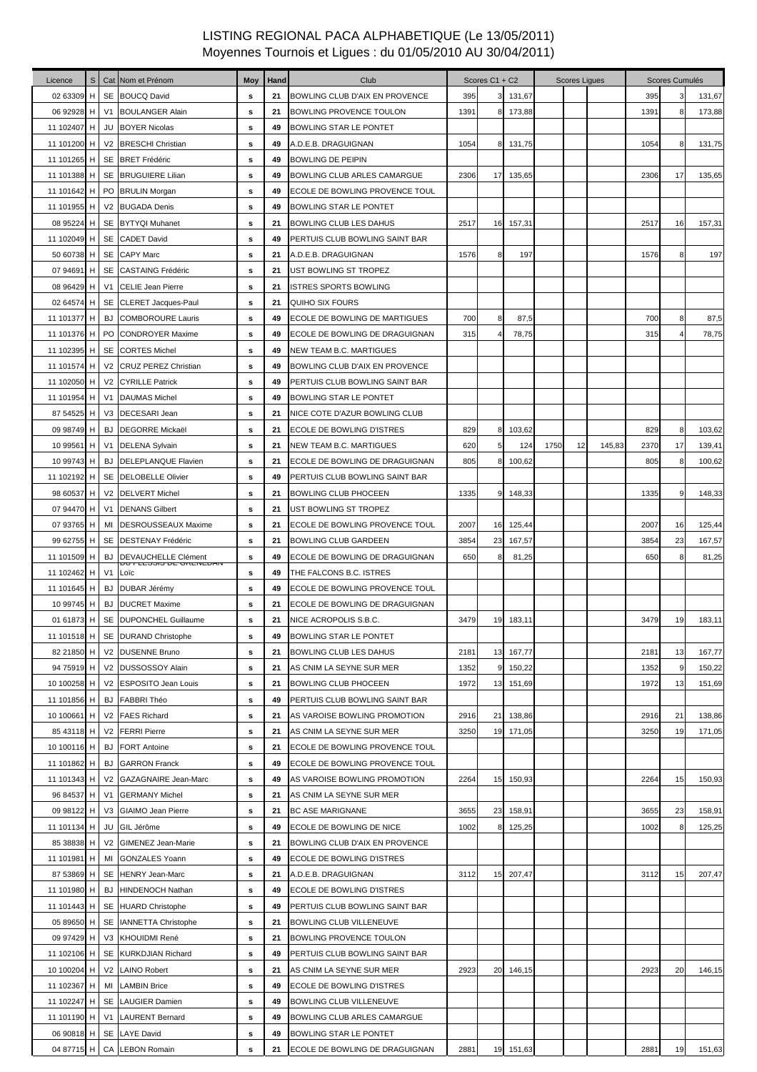| Licence                    | $\mathbb S$ |                | Cat Nom et Prénom                            | <b>Moy</b> | Hand     | Club                                             |              | Scores C1 + C2  |                  |      | <b>Scores Ligues</b> |        |      | Scores Cumulés |        |
|----------------------------|-------------|----------------|----------------------------------------------|------------|----------|--------------------------------------------------|--------------|-----------------|------------------|------|----------------------|--------|------|----------------|--------|
| 02 63309                   | H           |                | SE BOUCQ David                               | s          | 21       | BOWLING CLUB D'AIX EN PROVENCE                   | 395          | 3               | 131,67           |      |                      |        | 395  |                | 131,67 |
| 06 92928                   | H           |                | V1 BOULANGER Alain                           | s          | 21       | BOWLING PROVENCE TOULON                          | 1391         | 8               | 173,88           |      |                      |        | 1391 | 8              | 173,88 |
| 11 102407 H                |             |                | <b>JU BOYER Nicolas</b>                      | s          | 49       | BOWLING STAR LE PONTET                           |              |                 |                  |      |                      |        |      |                |        |
| 11 101200                  | H           |                | V2 BRESCHI Christian                         | s          | 49       | A.D.E.B. DRAGUIGNAN                              | 1054         | 8               | 131,75           |      |                      |        | 1054 | 8              | 131,75 |
| 11 101265 H                |             |                | SE BRET Frédéric                             | s          | 49       | <b>BOWLING DE PEIPIN</b>                         |              |                 |                  |      |                      |        |      |                |        |
| 11 101388                  | H           |                | SE BRUGUIERE Lilian                          | s          | 49       | BOWLING CLUB ARLES CAMARGUE                      | 2306         | 17              | 135,65           |      |                      |        | 2306 | 17             | 135,65 |
| 11 101642 H                |             |                | PO BRULIN Morgan                             | s          | 49       | ECOLE DE BOWLING PROVENCE TOUL                   |              |                 |                  |      |                      |        |      |                |        |
| 11 101955 H                |             |                | V2 BUGADA Denis                              | s          | 49       | BOWLING STAR LE PONTET                           |              |                 |                  |      |                      |        |      |                |        |
| 08 95224 H                 |             |                | SE BYTYQI Muhanet                            | s          | 21       | <b>BOWLING CLUB LES DAHUS</b>                    | 2517         | 16              | 157,31           |      |                      |        | 2517 | 16             | 157,31 |
| 11 102049 H                |             |                | SE CADET David                               | s          | 49       | PERTUIS CLUB BOWLING SAINT BAR                   |              |                 |                  |      |                      |        |      |                |        |
| 50 60738 H                 |             |                | SE CAPY Marc                                 | s          | 21       | A.D.E.B. DRAGUIGNAN                              | 1576         | 8               | 197              |      |                      |        | 1576 | 8              | 197    |
| 07 94691                   | H           |                | SE CASTAING Frédéric                         | s          | 21       | UST BOWLING ST TROPEZ                            |              |                 |                  |      |                      |        |      |                |        |
| 08 96429                   | H           |                | V1 CELIE Jean Pierre                         | s          | 21       | ISTRES SPORTS BOWLING                            |              |                 |                  |      |                      |        |      |                |        |
| 02 64574 H                 |             |                | SE CLERET Jacques-Paul                       | s          | 21       | <b>QUIHO SIX FOURS</b>                           |              |                 |                  |      |                      |        |      |                |        |
| 11 101377 H                |             | BJ             | <b>COMBOROURE Lauris</b>                     | s          | 49       | ECOLE DE BOWLING DE MARTIGUES                    | 700          | 8               | 87,5             |      |                      |        | 700  | 8              | 87,5   |
| 11 101376 H                |             |                | PO CONDROYER Maxime                          | s          | 49       | ECOLE DE BOWLING DE DRAGUIGNAN                   | 315          |                 | 78,75            |      |                      |        | 315  |                | 78,75  |
| 11 102395 H                |             |                | <b>SE CORTES Michel</b>                      | s          | 49       | NEW TEAM B.C. MARTIGUES                          |              |                 |                  |      |                      |        |      |                |        |
| 11 101574 H                |             |                | V2 CRUZ PEREZ Christian                      | s          | 49       | BOWLING CLUB D'AIX EN PROVENCE                   |              |                 |                  |      |                      |        |      |                |        |
| 11 102050 H                |             |                | V2 CYRILLE Patrick                           | s          | 49       | PERTUIS CLUB BOWLING SAINT BAR                   |              |                 |                  |      |                      |        |      |                |        |
| 11 101954 H                |             | V <sub>1</sub> | <b>DAUMAS Michel</b>                         | s          | 49       | BOWLING STAR LE PONTET                           |              |                 |                  |      |                      |        |      |                |        |
| 87 54525                   | H           |                | V3 DECESARI Jean                             | s          | 21       | NICE COTE D'AZUR BOWLING CLUB                    |              |                 |                  |      |                      |        |      |                |        |
| 09 98749 H                 |             | <b>BJ</b>      | <b>DEGORRE Mickaël</b>                       | s          | 21       | ECOLE DE BOWLING D'ISTRES                        | 829          | 8               | 103,62           |      |                      |        | 829  | 8              | 103,62 |
| 10 99561 H                 |             | V <sub>1</sub> | <b>DELENA Sylvain</b>                        | s          | 21       | NEW TEAM B.C. MARTIGUES                          | 620          | 5               | 124              | 1750 | 12                   | 145,83 | 2370 | 17             | 139,41 |
| 10 99743 H                 |             | <b>BJ</b>      | <b>DELEPLANQUE Flavien</b>                   | s          | 21       | ECOLE DE BOWLING DE DRAGUIGNAN                   | 805          | 8               | 100,62           |      |                      |        | 805  | 8              | 100,62 |
| 11 102192 H                |             |                | SE DELOBELLE Olivier                         | s          | 49       | PERTUIS CLUB BOWLING SAINT BAR                   |              |                 |                  |      |                      |        |      |                |        |
| 98 60537 H                 |             |                | V2 DELVERT Michel                            | s          | 21       | BOWLING CLUB PHOCEEN                             | 1335         | 9               | 148,33           |      |                      |        | 1335 |                | 148,33 |
| 07 94470 H                 |             |                | V1 DENANS Gilbert                            | s          | 21       | UST BOWLING ST TROPEZ                            |              |                 |                  |      |                      |        |      |                |        |
| 07 93765 H                 |             | MI             | <b>DESROUSSEAUX Maxime</b>                   | s          | 21       | ECOLE DE BOWLING PROVENCE TOUL                   | 2007         | 16              | 125,44           |      |                      |        | 2007 | 16             | 125,44 |
| 99 62755 H                 |             |                | SE DESTENAY Frédéric                         | s          | 21       | BOWLING CLUB GARDEEN                             | 3854         | 23              | 167,57           |      |                      |        | 3854 | 23             | 167,57 |
| 11 101509 H                |             | <b>BJ</b>      | DEVAUCHELLE Clément                          | s          | 49       | ECOLE DE BOWLING DE DRAGUIGNAN                   | 650          | 8               | 81,25            |      |                      |        | 650  | 8              | 81,25  |
| 11 102462 H                |             | V <sub>1</sub> | אוערווארם את מומסדו מר<br>Loïc               | s          | 49       | THE FALCONS B.C. ISTRES                          |              |                 |                  |      |                      |        |      |                |        |
| 11 101645 H                |             | <b>BJ</b>      | DUBAR Jérémy                                 | s          | 49       | ECOLE DE BOWLING PROVENCE TOUL                   |              |                 |                  |      |                      |        |      |                |        |
| 10 99745 H                 |             | BJ             | <b>DUCRET Maxime</b>                         | s          | 21       | ECOLE DE BOWLING DE DRAGUIGNAN                   |              |                 |                  |      |                      |        |      |                |        |
| 01 61873 H                 |             |                | SE DUPONCHEL Guillaume                       | s          | 21       | NICE ACROPOLIS S.B.C.                            | 3479         | 19              | 183,11           |      |                      |        | 3479 | 19             | 183,11 |
| 11 101518 H                |             |                | SE DURAND Christophe                         | s          | 49       | BOWLING STAR LE PONTET                           |              |                 |                  |      |                      |        |      |                |        |
| 82 21850 H                 |             |                | V2 DUSENNE Bruno                             | s          | 21       | BOWLING CLUB LES DAHUS                           | 2181         | 13 <sub>l</sub> |                  |      |                      |        | 2181 | 13             | 167,77 |
| 94 75919 H                 |             |                |                                              |            | 21       |                                                  |              | 9               | 167,77           |      |                      |        | 1352 |                |        |
| 10 100258 H                |             |                | V2 DUSSOSSOY Alain<br>V2 ESPOSITO Jean Louis | s          | 21       | AS CNIM LA SEYNE SUR MER<br>BOWLING CLUB PHOCEEN | 1352<br>1972 | 13              | 150,22<br>151,69 |      |                      |        | 1972 | 9<br>13        | 150,22 |
|                            |             | <b>BJ</b>      | <b>FABBRI Théo</b>                           | s          |          | PERTUIS CLUB BOWLING SAINT BAR                   |              |                 |                  |      |                      |        |      |                | 151,69 |
| 11 101856 H<br>10 100661 H |             |                | V2 FAES Richard                              | s<br>s     | 49<br>21 | AS VAROISE BOWLING PROMOTION                     | 2916         | 21              | 138,86           |      |                      |        | 2916 | 21             | 138,86 |
|                            |             |                |                                              |            |          |                                                  |              |                 |                  |      |                      |        |      |                |        |
| 85 43118 H                 |             |                | V2 FERRI Pierre                              | s          | 21       | AS CNIM LA SEYNE SUR MER                         | 3250         | 19              | 171,05           |      |                      |        | 3250 | 19             | 171,05 |
| 10 100116 H                |             | <b>BJ</b>      | <b>FORT Antoine</b>                          | s          | 21       | ECOLE DE BOWLING PROVENCE TOUL                   |              |                 |                  |      |                      |        |      |                |        |
| 11 101862 H                |             | <b>BJ</b>      | <b>GARRON Franck</b>                         | s          | 49       | ECOLE DE BOWLING PROVENCE TOUL                   |              |                 |                  |      |                      |        |      |                |        |
| 11 101343 H<br>96 84537 H  |             | V <sub>2</sub> | <b>GAZAGNAIRE Jean-Marc</b>                  | s          | 49       | AS VAROISE BOWLING PROMOTION                     | 2264         | 15              | 150,93           |      |                      |        | 2264 | 15             | 150,93 |
|                            |             | V <sub>1</sub> | <b>GERMANY Michel</b>                        | s          | 21       | AS CNIM LA SEYNE SUR MER                         |              |                 |                  |      |                      |        |      |                |        |
| 09 98122 H                 |             |                | V3 GIAIMO Jean Pierre                        | s          | 21       | BC ASE MARIGNANE                                 | 3655         | 23              | 158,91           |      |                      |        | 3655 | 23             | 158,91 |
| 11 101134 H                |             | JU             | GIL Jérôme                                   | s          | 49       | ECOLE DE BOWLING DE NICE                         | 1002         | 8               | 125,25           |      |                      |        | 1002 | 8              | 125,25 |
| 85 38838 H                 |             |                | V2 GIMENEZ Jean-Marie                        | s          | 21       | BOWLING CLUB D'AIX EN PROVENCE                   |              |                 |                  |      |                      |        |      |                |        |
| 11 101981 H                |             | MI             | <b>GONZALES Yoann</b>                        | s          | 49       | ECOLE DE BOWLING D'ISTRES                        |              |                 |                  |      |                      |        |      |                |        |
| 87 53869 H                 |             |                | SE HENRY Jean-Marc                           | s          | 21       | A.D.E.B. DRAGUIGNAN                              | 3112         | 15              | 207,47           |      |                      |        | 3112 | 15             | 207,47 |
| 11 101980 H                |             | <b>BJ</b>      | <b>HINDENOCH Nathan</b>                      | s          | 49       | ECOLE DE BOWLING D'ISTRES                        |              |                 |                  |      |                      |        |      |                |        |
| 11 101443 H                |             |                | SE HUARD Christophe                          | s          | 49       | PERTUIS CLUB BOWLING SAINT BAR                   |              |                 |                  |      |                      |        |      |                |        |
| 05 89650 H                 |             |                | SE IANNETTA Christophe                       | s          | 21       | BOWLING CLUB VILLENEUVE                          |              |                 |                  |      |                      |        |      |                |        |
| 09 97429 H                 |             |                | V3 KHOUIDMI René                             | s          | 21       | BOWLING PROVENCE TOULON                          |              |                 |                  |      |                      |        |      |                |        |
| 11 102106 H                |             |                | SE KURKDJIAN Richard                         | s          | 49       | PERTUIS CLUB BOWLING SAINT BAR                   |              |                 |                  |      |                      |        |      |                |        |
| 10 100204 H                |             |                | V2 LAINO Robert                              | s          | 21       | AS CNIM LA SEYNE SUR MER                         | 2923         | 20              | 146,15           |      |                      |        | 2923 | 20             | 146,15 |
| 11 102367 H                |             |                | MI LAMBIN Brice                              | s          | 49       | ECOLE DE BOWLING D'ISTRES                        |              |                 |                  |      |                      |        |      |                |        |
| 11 102247 H                |             |                | SE LAUGIER Damien                            | s          | 49       | BOWLING CLUB VILLENEUVE                          |              |                 |                  |      |                      |        |      |                |        |
| 11 101190 H                |             |                | V1 LAURENT Bernard                           | s          | 49       | BOWLING CLUB ARLES CAMARGUE                      |              |                 |                  |      |                      |        |      |                |        |
| 06 90818 H                 |             |                | SE LAYE David                                | s          | 49       | BOWLING STAR LE PONTET                           |              |                 |                  |      |                      |        |      |                |        |
| 04 87715 H                 |             |                | CA LEBON Romain                              | s          | 21       | ECOLE DE BOWLING DE DRAGUIGNAN                   | 2881         |                 | 19 151,63        |      |                      |        | 2881 | 19             | 151,63 |